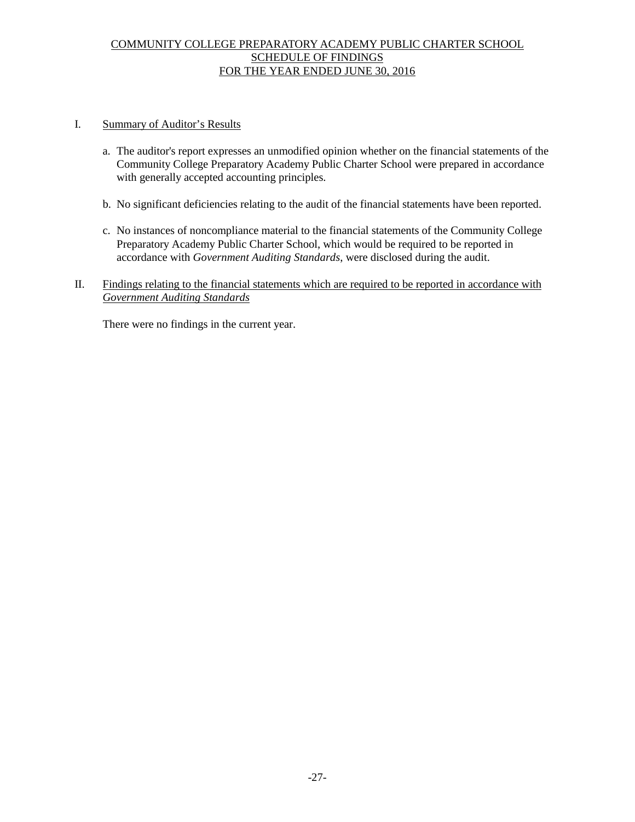COMMUNITY COLLEGE PREPARATORY ACADEMY PUBLIC CHARTER SCHOOL

WASHINGTON, D.C.

-------------------------------------------

COMPARATIVE FINANCIAL STATEMENTS AND INDEPENDENT AUDITOR'S REPORT

FOR THE YEARS ENDED JUNE 30, 2016 AND 2015

#### **KENDALL, PREBOLA AND JONES**

Certified Public Accountants PO BOX 259 BEDFORD, PENNSYLVANIA 15522-0259 (814) 623-1880 FAX (814) 623-7548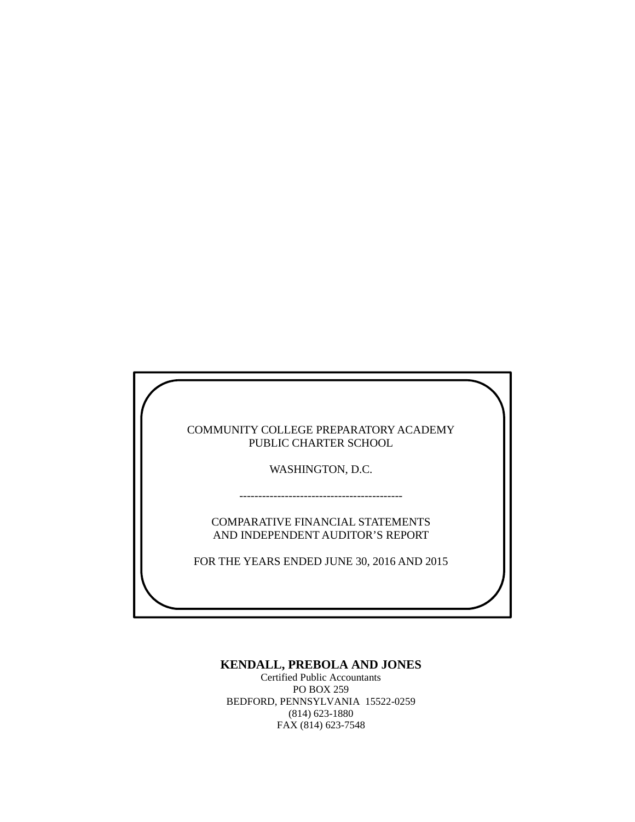# I N D E X

|                                                                                                                                                                                                                          | Page           |
|--------------------------------------------------------------------------------------------------------------------------------------------------------------------------------------------------------------------------|----------------|
| <b>Independent Auditor's Report</b>                                                                                                                                                                                      | $1-2$          |
| Comparative Statements of Financial Position, June 30, 2016 and 2015                                                                                                                                                     | 3              |
| Comparative Statements of Activities, For the Years Ended June 30, 2016 and 2015                                                                                                                                         | $\overline{4}$ |
| Comparative Statements of Cash Flows, For the Years Ended June 30, 2016 and 2015                                                                                                                                         | 5              |
| <b>Notes to Financial Statements</b>                                                                                                                                                                                     | $6 - 20$       |
| Supplemental Information                                                                                                                                                                                                 |                |
| Schedule 1 - Comparative Schedules of Functional Expenses,<br>For the Years Ended June 30, 2016 and 2015                                                                                                                 | $21 - 22$      |
| Schedule 2 - Comparative Schedules of Average Cost Per Student,<br>For the Years Ended June 30, 2016 and 2015                                                                                                            | 23             |
| Independent Auditor's Report on Internal Control over Financial Reporting and on<br>Compliance and Other Matters Based on an Audit of Financial Statements Performed<br>in Accordance with Government Auditing Standards | $24 - 25$      |
| Summary Schedule of Prior Audit Findings, For the Year Ended June 30, 2016                                                                                                                                               | 26             |
| Schedule of Findings, For the Year Ended June 30, 2016                                                                                                                                                                   | 27             |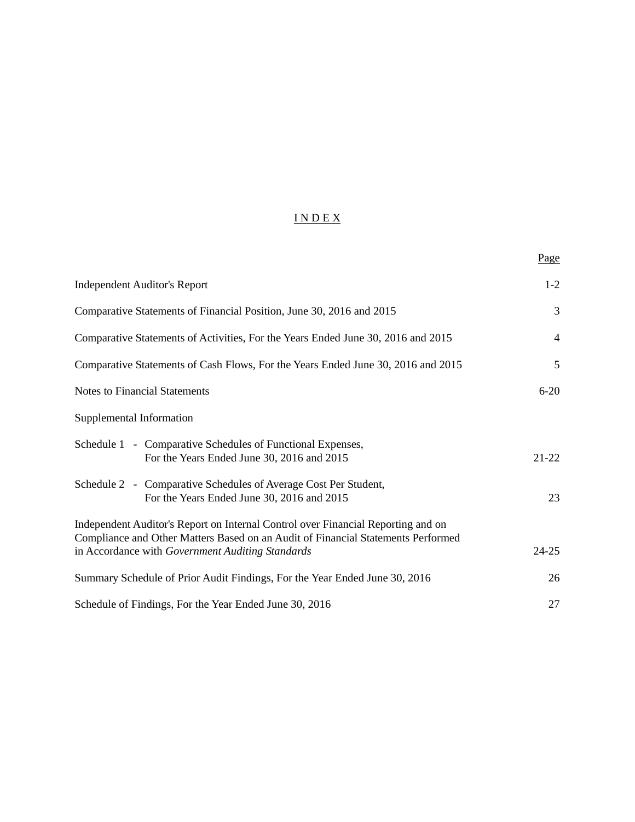# Kendall, Prebola and Jones, LLC

**Certified Public Accountants** 

Board of Directors Community College Preparatory Academy Public Charter School 2405 Martin L. King Jr. Ave SE Washington, DC 20020

#### INDEPENDENT AUDITOR'S REPORT

#### *Report on the Financial Statements*

We have audited the accompanying financial statements of the Community College Preparatory Academy Public Charter School, (a nonprofit organization) which comprise the statements of financial position as of June 30, 2016 and 2015, and the related statements of activities and cash flows for the years then ended, and the related notes to the financial statements.

#### *Management's Responsibility for the Financial Statements*

Management is responsible for the preparation and fair presentation of these financial statements in accordance with accounting principles generally accepted in the United States of America; this includes the design, implementation, and maintenance of internal control relevant to the preparation and fair presentation of financial statements that are free from material misstatement, whether due to fraud or error.

#### *Auditor's Responsibility*

Our responsibility is to express an opinion on these financial statements based on our audits. We conducted our audits in accordance with auditing standards generally accepted in the United States of America and the standards applicable to financial audits contained in *Government Auditing Standards*, issued by the Comptroller General of the United States. Those standards require that we plan and perform the audit to obtain reasonable assurance about whether the financial statements are free from material misstatement.

An audit involves performing procedures to obtain audit evidence about the amounts and disclosures in the financial statements. The procedures selected depend on the auditor's judgment, including the assessment of the risks of material misstatement of the financial statements, whether due to fraud or error. In making those risk assessments, the auditor considers internal control relevant to the entity's preparation and fair presentation of the financial statements in order to design audit procedures that are appropriate in the circumstances, but not for the purpose of expressing an opinion on the effectiveness of the entity's internal control. Accordingly, we express no such opinion. An audit also includes evaluating the appropriateness of accounting policies used and the reasonableness of significant accounting estimates made by management, as well as evaluating the overall presentation of the financial statements.

We believe that the audit evidence we have obtained is sufficient and appropriate to provide a basis for our audit opinion.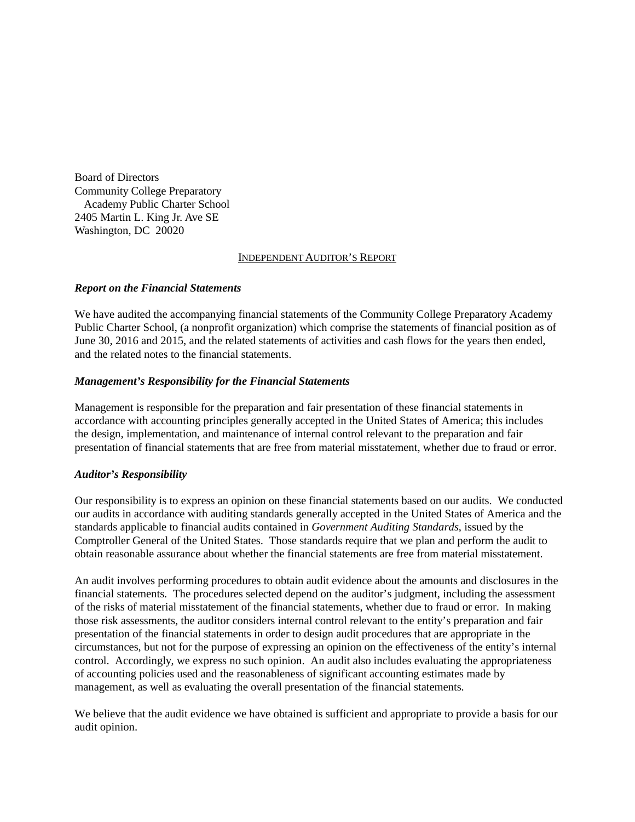# *Opinion*

In our opinion, the financial statements referred to above present fairly, in all material respects, the financial position of the Community College Preparatory Academy Public Charter School as of June 30, 2016 and 2015, and the changes in its net assets and its cash flows for the years then ended in accordance with accounting principles generally accepted in the United States of America.

# *Other Matters*

Our audits were conducted for the purpose of forming an opinion on the financial statements as a whole. The schedules of functional expenses and schedules of average cost per student are presented for purposes of additional analysis and are not a required part of the financial statements. Such information is the responsibility of management and was derived from and relates directly to the underlying accounting and other records used to prepare the financial statements. The information has been subjected to the auditing procedures applied in the audit of the financial statements and certain additional procedures, including comparing and reconciling such information directly to the underlying accounting and other records used to prepare the financial statements or to the financial statements themselves, and other additional procedures in accordance with auditing standards generally accepted in the United States of America. In our opinion, the information is fairly stated in all material respects in relation to the financial statements as a whole.

# *Other Reporting Required by Government Auditing Standards*

In accordance with *Government Auditing Standards*, we have also issued our report dated December 2, 2016, on our consideration of the Community College Preparatory Academy Public Charter School's internal control over financial reporting and on our tests of its compliance with certain provisions of laws, regulations, contracts and grant agreements and other matters. The purpose of that report is to describe the scope of our testing of internal control over financial reporting and compliance and the results of that testing, and not to provide an opinion on internal control over financial reporting or on compliance. That report is an integral part of an audit performed in accordance with *Government Auditing Standards* in considering the Community College Preparatory Academy Public Charter School's internal control over financial reporting and compliance.

> Kendall, Prebola and Jones Certified Public Accountants

Bedford, Pennsylvania December 2, 2016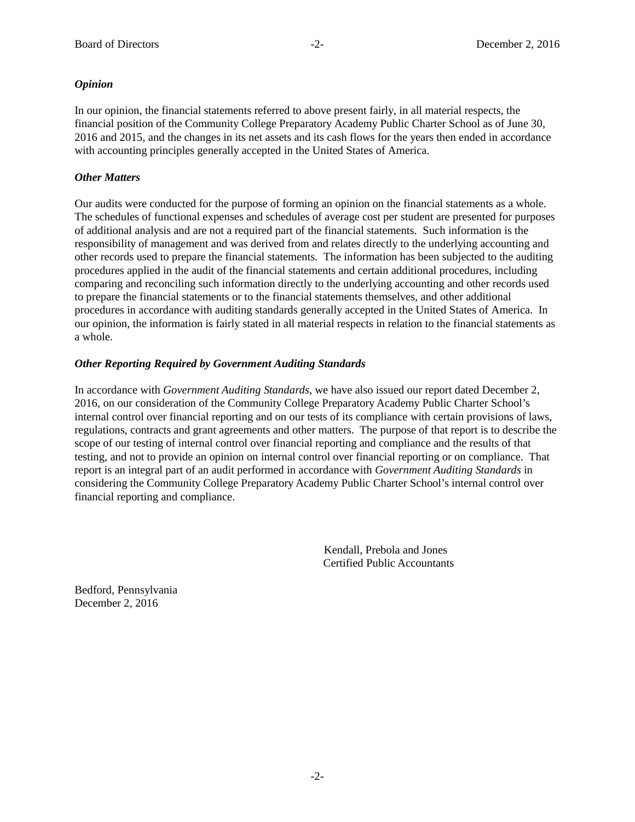# COMMUNITY COLLEGE PREPARATORY ACADEMY PUBLIC CHARTER SCHOOL COMPARATIVE STATEMENTS OF FINANCIAL POSITION JUNE 30, 2016 AND 2015

|                                                         | June 30, 2016           | June 30, 2015                   |
|---------------------------------------------------------|-------------------------|---------------------------------|
| <b>ASSETS</b>                                           |                         |                                 |
| <b>Current Assets:</b>                                  |                         |                                 |
| Cash and Cash Equivalents<br><b>Accounts Receivable</b> | \$<br>8,336<br>23,856   | \$<br>100,785<br>56,034         |
| <b>Grants Receivable</b>                                |                         | 4,450                           |
| Prepaid Expenses                                        | 11,361                  | 33,975                          |
|                                                         |                         |                                 |
| <b>Total Current Assets</b>                             | \$<br>43,553            | \$<br>195,244                   |
| <b>Fixed Assets:</b>                                    |                         |                                 |
| Fixed Assets, Net of Accumulated Depreciation           | 172,196<br>\$           | 125,625<br>\$                   |
| <b>Total Fixed Assets</b>                               | \$<br>172,196           | \$<br>125,625                   |
| Other Assets:                                           |                         |                                 |
| Deposits                                                | $\frac{1}{2}$<br>29,596 | $\frac{1}{2}$<br>24,596         |
| <b>Total Other Assets</b>                               | \$<br>29,596            | \$<br>24,596                    |
| <b>TOTAL ASSETS</b>                                     | \$<br>245,345           | \$<br>345,465                   |
| <b>LIABILITIES AND NET ASSETS</b>                       |                         |                                 |
| <b>Current Liabilities:</b>                             |                         |                                 |
| <b>Accounts Payable</b>                                 | \$<br>39,558            | \$<br>179,250                   |
| <b>Accrued Interest Payable</b>                         | 3,931                   | 3,333                           |
| <b>Accrued Salaries</b>                                 | 14,131                  |                                 |
| <b>Accrued Vacation</b>                                 | 13,457                  | 21,779                          |
| <b>Deferred Revenues</b>                                |                         | 97,964                          |
| Short-Term Loans Payable                                | 10,000                  | 40,000                          |
| <b>Current Portion: Capital Lease</b>                   | 2,692                   | 1,678                           |
| <b>Total Current Liabilities</b>                        | \$<br>83,769            | \$<br>344,004                   |
| Long-Term Liabilities:                                  |                         |                                 |
| Capital Lease Payable                                   | \$<br>3,256             | \$<br>4,933                     |
| Less: Current Portion                                   | (2,692)                 | (1,678)                         |
| <b>Total Long-Term Liabilities</b>                      | \$<br>564               | $\frac{1}{2}$<br>3,255          |
| <b>Total Liabilities</b>                                | \$<br>84,333            | $\frac{1}{2}$<br><u>347,259</u> |
| Net Assets (Deficit):                                   |                         |                                 |
| Unrestricted                                            | \$<br>159,847           | \$<br>(4,394)                   |
| <b>Temporarily Restricted</b>                           | 1,165                   | 2,600                           |
| <b>Total Net Assets (Deficit)</b>                       | 161,012<br>\$           | <u>\$</u><br>(1,794)            |
| TOTAL LIABILITIES AND NET ASSETS                        | 245,345<br>\$           | 345,465<br>\$                   |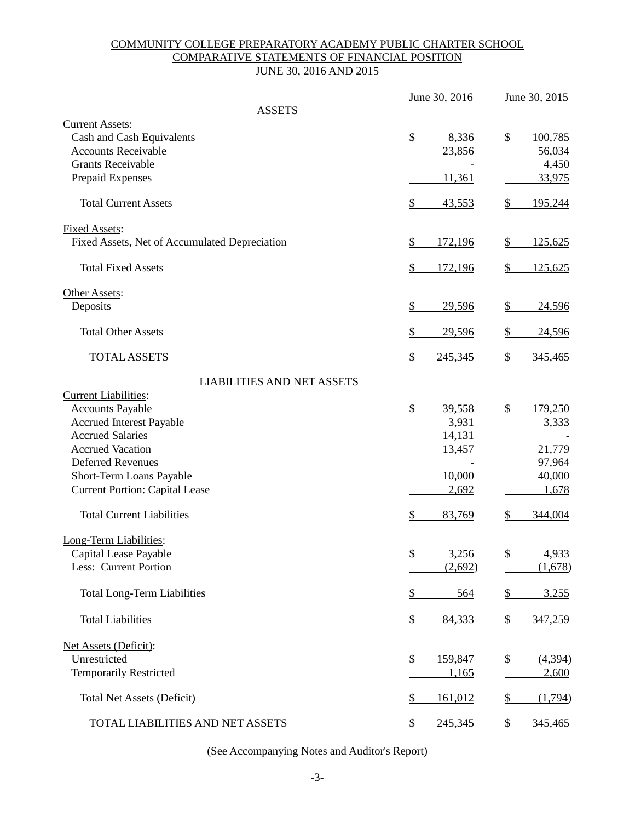#### COMMUNITY COLLEGE PREPARATORY ACADEMY PUBLIC CHARTER SCHOOL COMPARATIVE STATEMENTS OF ACTIVITIES FOR THE YEARS ENDED JUNE 30, 2016 AND 2015

|                                             | June 30, 2016              |                                |                 | June 30, 2015   |                                                              |  |
|---------------------------------------------|----------------------------|--------------------------------|-----------------|-----------------|--------------------------------------------------------------|--|
|                                             | Unrestricted               | Temporarily<br>Restricted      | Total           | Unrestricted    | Temporarily<br>Total<br>Restricted                           |  |
| Revenues and Other Support:                 |                            |                                |                 |                 |                                                              |  |
| Tuition - Per Pupil Funding Allocation      | 3,027,181<br><sup>\$</sup> | $\mathbb{S}$<br>$\blacksquare$ | \$<br>3,027,181 | \$<br>2,189,088 | $\mathbb{S}$<br>2,189,088                                    |  |
| <b>Tuition - Facilities Allowance</b>       | 1,093,400                  | $\sim$                         | 1,093,400       | 731,136         | 731,136                                                      |  |
| <b>State Government Grants</b>              | 54,904                     | $\blacksquare$                 | 54,904          | 4,450           | 4,450                                                        |  |
| Private Grants and Contributions            | 2,976                      | 81,953                         | 84,929          | 4,675           | 6,299<br>10,974                                              |  |
| <b>Donated Services</b>                     |                            |                                |                 | 12,000          | 12,000                                                       |  |
| Net Assets Released from Restrictions -     |                            |                                |                 |                 |                                                              |  |
| <b>Satisfaction of Program Restrictions</b> | 83,388                     | (83, 388)                      |                 | 7,699           | (7,699)                                                      |  |
| Total Revenues, Gains and Other Support     | 4,261,849                  | (1,435)                        | \$<br>4,260,414 | 2,949,048       | (1,400)<br>2,947,648<br>\$                                   |  |
| Expenses:                                   |                            |                                |                 |                 |                                                              |  |
| <b>Educational Services</b>                 | $\mathbb{S}$<br>3,561,657  | \$<br>$\blacksquare$           | \$<br>3,561,657 | \$<br>2,543,559 | \$<br>2,543,559<br>$\mathcal{S}$<br>$\overline{\phantom{a}}$ |  |
| General and Administrative                  | 492,740                    | $\sim$                         | 492,740         | 354,209         | 354,209<br>$\sim$                                            |  |
| Fundraising                                 | 43,211                     |                                | 43,211          | 9,958           | 9,958                                                        |  |
| <b>Total Expenses</b>                       | 4,097,608                  |                                | 4,097,608       | 2,907,726       | 2,907,726                                                    |  |
| Changes in Net Assets                       | 164,241<br><sup>\$</sup>   | \$<br>(1, 435)                 | \$<br>162,806   | \$<br>41,322    | \$<br>(1,400)<br>\$<br>39,922                                |  |
| Net Assets at Beginning of Year             | (4, 394)                   | 2,600                          | (1,794)         | (45,716)        | 4,000<br>(41,716)                                            |  |
| Net Assets (Deficit) at End of Year         | 159,847                    | 1,165                          | 161,012         | (4, 394)        | 2,600<br>(1,794)                                             |  |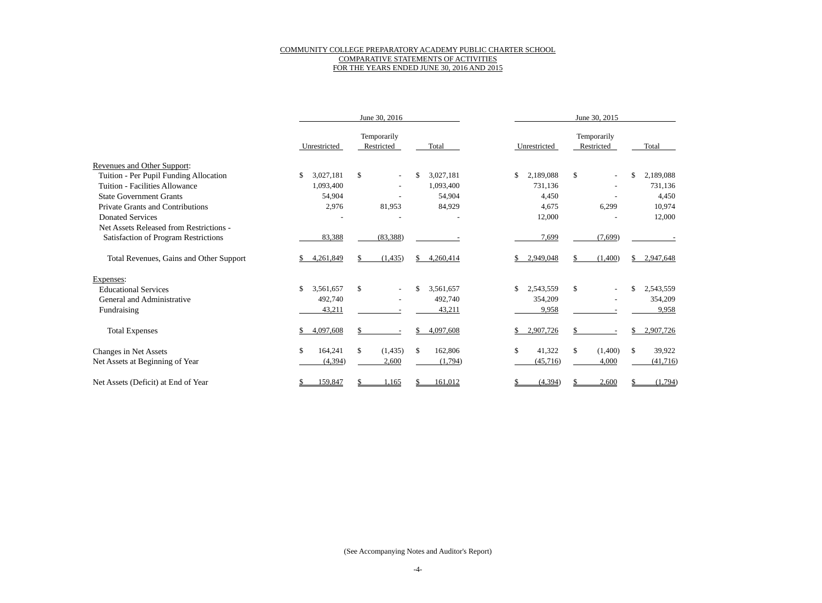# COMMUNITY COLLEGE PREPARATORY ACADEMY PUBLIC CHARTER SCHOOL COMPARATIVE STATEMENTS OF CASH FLOWS FOR THE YEARS ENDED JUNE 30, 2016 AND 2015

|                                                       | June 30, 2016   | June 30, 2015 |           |
|-------------------------------------------------------|-----------------|---------------|-----------|
| <b>Cash Flows from Operating Activities:</b>          |                 |               |           |
| <b>Changes in Net Assets</b>                          | \$<br>162,806   | \$            | 39,922    |
| Adjustments to Reconcile Changes in Net Assets to Net |                 |               |           |
| Cash Flows from Operating Activities:                 |                 |               |           |
| Depreciation and Amortization                         | 84,933          |               | 51,912    |
| Accounts Receivable - (Increase)/Decrease             | 32,178          |               | (45, 401) |
| Grants Receivable - (Increase)/Decrease               | 4,450           |               | (4, 450)  |
| Promises Receivable - (Increase)/Decrease             |                 |               | 400       |
| Deposits - (Increase)/Decrease                        | (5,000)         |               |           |
| Prepaid Expenses - (Increase)/Decrease                | 22,614          |               | 89,932    |
| Accounts Payable - Increase/(Decrease)                | (139, 692)      |               | 114,852   |
| Accrued Interest Payable - Increase/(Decrease)        | 598             |               | 1,600     |
| Accrued Salaries - Increase/(Decrease)                | 14,131          |               |           |
| Accrued Vacation - Increase/(Decrease)                | (8,322)         |               | 17,471    |
| Deferred Revenues - Increase/(Decrease)               | (97, 964)       |               | (20, 683) |
| Net Cash Flows from Operating Activities              | \$<br>70,732    | \$            | 245,555   |
| <b>Cash Flows from Investing Activities:</b>          |                 |               |           |
| Purchase of Fixed Assets and Leasehold Improvements   | \$<br>(131,504) | \$            | (88, 118) |
| Net Cash Flows from Investing Activities              | \$<br>(131,504) | \$            | (88, 118) |
| <b>Cash Flows from Financing Activities:</b>          |                 |               |           |
| Payments on Short-Term Loan                           | \$<br>(30,000)  | \$            | (80,000)  |
| Payments on Capital Lease                             | (1,677)         |               | (1,330)   |
| Net Cash Flows from Financing Activities              | \$<br>(31,677)  | <u>\$</u>     | (81,330)  |
| Net Increase in Cash and Cash Equivalents             | \$<br>(92, 449) | \$            | 76,107    |
| Cash and Cash Equivalents at Beginning of Year        | 100,785         |               | 24,678    |
| Cash and Cash Equivalents at End of Year              | \$<br>8,336     | \$            | 100,785   |

Supplemental Disclosures:

a) Interest in the amount of \$1,581 and \$2,522 was paid during the years ended June 30, 2016 and 2015, respectively.

b) No income taxes were paid during the years ended June 30, 2016 and 2015.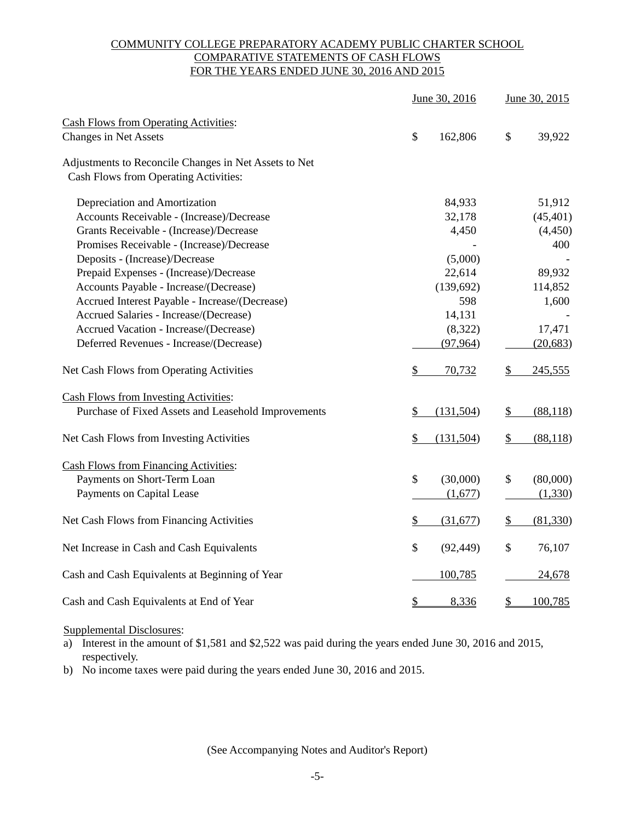The Community College Preparatory Academy Public Charter School (The Charter School), a District of Columbia Not-for-Profit Corporation was incorporated on July 23, 2012, exclusively for educational purposes. The Public Charter School operates as an independent LEA and reports to the Public Charter School Board for review and approval. The mission of the Community College Preparatory Academy Public Charter School is to provide the education and skills development that will empower and prepare under-credited adults for postsecondary education success, viable employment and lifelong learning.

The School's primary sources of support are local appropriations for Charter Schools from the District of Columbia Government.

#### 1. SUMMARY OF SIGNIFICANT ACCOUNTING POLICIES:

The significant accounting policies of the Charter School are summarized below:

(a) Basis of Accounting and Presentation:

The accompanying financial statements have been prepared on the accrual basis of accounting, which presents financial position, activities, functional expenses, and cash flows in accordance with accounting principles generally accepted in the United States of America.

(b) Revenue Recognition:

#### **Contributions**

The Charter School has adopted Financial Accounting Standards Board ASC No. 958-605-25, *Accounting for Contributions Received and Contributions Made.* As such, contributions are recognized as revenue when they are received or unconditionally pledged.

All contributions are available for unrestricted use unless specifically restricted by the donor. Contributions and promises to give with donor imposed conditions are recognized as unrestricted support when the conditions on which they depend are substantially met. Contributions and promises to give with donor imposed restrictions are reported as temporarily restricted support. Unconditional promises to give due in the next year are recorded at their net realizable value. An allowance for uncollectible contributions receivable is provided based upon management's judgement, including such factors as prior collection history and type of contribution.

The Charter School reports gifts of equipment as unrestricted support unless explicit donor stipulations specify how the donated assets must be used. The Charter School reports expirations of donor restrictions when the donated or acquired assets are placed in service.

### **Charter School Funding**

The Charter School receives a student allocation from the District of Columbia to cover the cost of academic expenses. The student allocation is on a per pupil basis and includes the academic year funding, special education funding, and a facilities allotment. The Charter School recognizes this funding in the year in which the school term is conducted. Funding received in advance of the school term is recorded as deferred revenue.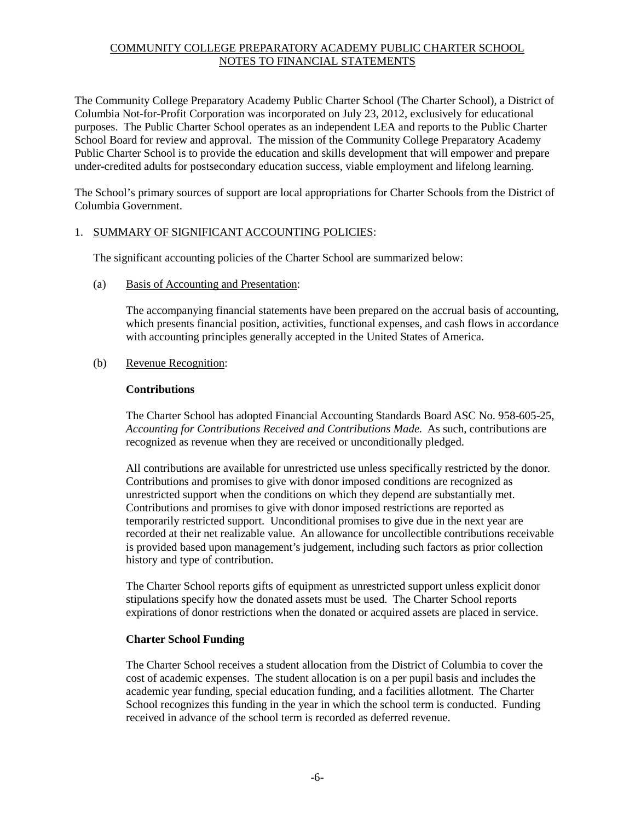# 1. SUMMARY OF SIGNIFICANT ACCOUNTING POLICIES: (Continued)

### (c) Corporate Taxes:

The Community College Preparatory Academy Public Charter School is exempt from federal and state income taxes (other than on unrelated business income) under the provisions of Section  $501(c)(3)$  of the Internal Revenue Code and similar state income tax laws. Exemption from District of Columbia income taxes was granted to the Charter School effective September 24, 2014. Accordingly, no provisions for income taxes have been provided for in the accompanying financial statements. The organization has been classified as other than a private foundation under Section  $509(a)(1)$  of the Internal Revenue Code and accordingly contributions qualify as a charitable tax deduction by the contributor under Section  $170(b)(1)(A)(ii)$ . The Charter School did not have any net unrelated business income for the year ended June 30, 2016.

The Community College Preparatory Academy Public Charter School is also exempt from District of Columbia sales, franchise, and personal property taxes.

(d) Grants:

Grant revenues are received primarily from Federal agencies and the District of Columbia Government. These grants are subject to financial and compliance audits by the grantor agencies. Such audits could result in a request for reimbursement by the agency for expenditures disallowed under the terms and conditions of the appropriate grantor. No provision for possible adjustment has been made in the accompanying financial statements because, in the opinion of management, such adjustment, if any, would not have a material effect on the financial statements.

Cash receipts in excess of costs incurred for grants are reflected as refundable advances until they are expended for the purpose of the grant, at which time they are recognized as unrestricted support. Costs incurred in excess of cash received are reflected as grants receivable.

(e) Net Assets:

The Charter School has adopted Financial Accounting Standards Board ASC No. 958-205-05, *Financial Statements of Not-for-Profit Organizations*. Under FASB ASC No. 958-205-05, the Charter School is required to report information regarding its financial position and activities according to three classes of net assets.

Net assets and revenues, expenses, gains, and losses are classified based on the existence or absence of donor-imposed restrictions. Accordingly, net assets of the Charter School and changes therein are classified and reported as follows:

### **Unrestricted Net Assets**

Net assets that are not subject to donor-imposed restrictions and over which the Board of Directors has discretionary control. This classification includes net assets subject to donorimposed conditions, which have been met in the current year and net assets subject to donorimposed restrictions that have been released from restrictions.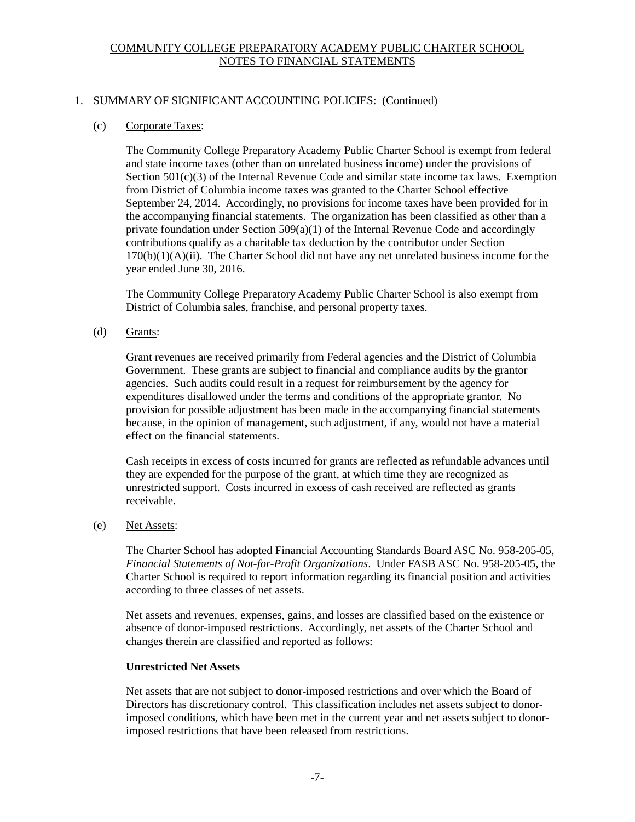# 1. SUMMARY OF SIGNIFICANT ACCOUNTING POLICIES: (Continued)

### (e) Net Assets: (Continued)

#### **Temporarily Restricted Net Assets**

Net assets subject to donor-imposed restrictions that may or will be met, either by actions of the Charter School and/or the passage of time. When a restriction expires, temporarily restricted net assets are reclassified to unrestricted net assets and reported in the statement of activities as net assets released from restrictions.

Temporarily restricted net assets were available at year end for the following purpose:

|                                     | June 30, 2016 | June 30, 2015 |        |  |
|-------------------------------------|---------------|---------------|--------|--|
| <b>Student Transportation Funds</b> | 1.165         |               | 2.600  |  |
| Total                               | 1.165         |               | -2.600 |  |

Net assets were released from donor restrictions by incurring expenses satisfying the restricted purposes, the passage of time, or by occurrence of other events specified by donors for the following activities:

|                                      | June 30, 2016 |        |  | June 30, 2015 |  |  |
|--------------------------------------|---------------|--------|--|---------------|--|--|
| Gibbs Campus Buildout                | S             | 56,003 |  | 6.299         |  |  |
| Sponsorship - Evening with the Stars |               | 25,450 |  |               |  |  |
| <b>Student Transportation Funds</b>  |               | 1.935  |  | 400. ا        |  |  |
| Total                                |               | 83.388 |  | 7.699         |  |  |

#### **Permanently Restricted Net Assets**

Net assets subject to donor-imposed stipulations that requires the net assets be maintained permanently by the Charter School. Generally, the donors of these assets permit the use of all or part of the income earned on any related investments for general or specific purposes. The Charter School did not have any permanently restricted net assets as of June 30, 2016 and 2015.

#### (f) Donated Services and Materials:

Donated services and materials are recognized as contributions in accordance with FASB ASC 958, *Accounting for Contributions Received and Contributions Made*, if the services received create or enhance nonfinancial assets or require specialized skills, and are provided by individuals possessing those skills, and would typically need to be purchased if not provided by donation. Contributed services and promises to give services that do not meet the above criteria are not recognized. The time contributed by the Charter School's Board of Directors is uncompensated and is not reflected as donated services. In-kind contributions are recorded in the Statement of Activities at estimated fair value and recognized as revenue and expense (or an asset) in the period they are received.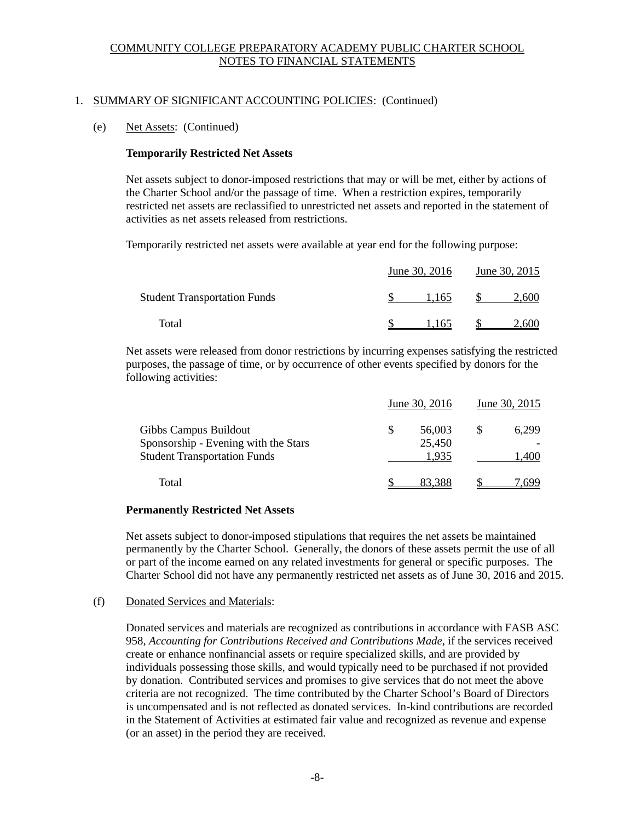### 1. SUMMARY OF SIGNIFICANT ACCOUNTING POLICIES: (Continued)

### (f) Donated Services and Materials:

The estimated value of donated services has been recorded in the financial statements as follows:

|                            | June 30, 2016            | June 30, 2015 |  |  |
|----------------------------|--------------------------|---------------|--|--|
| <b>Accounting Services</b> | $\overline{\phantom{a}}$ | 2.000         |  |  |
| Total                      | $\overline{\phantom{0}}$ | 2.000         |  |  |

#### (g) Basic Programs:

The design of the school was in response to two major challenges confronting the District of Columbia, namely:

- 1. The increasing number of adults in their prime wage earning years, entering postsecondary education unprepared to successfully complete an Associate Degree or Advanced Vocational Certifications; and
- 2. The overwhelming number of DC residents unable to be employed in the city due to the lack of core academic skills and the lack of certificated workforce skills required by the city's knowledge-based economy.

The instructional model for CC Prep responds to these challenges by providing remediation in core academic skills, core skills in computer literacy, on-line learning, and preparation for a range of highly portable, national certifications to support entry to the city's job market. Special focus prepares students for employment in the technology and tech-related fields. This focus was selected as it offers the broadest range of options for entry-level employment, including everything from a Data Entry Clerk to Certified Help Desk and Cabling technician.

CC Prep has a staff of 27 and SY'2017 operating budget of over \$5 million this year. CC Prep was approved by the DC Public Charter School Board in January 2012 and classes began in September, 2013. The Founder and Executive Director, C. Vannessa (Connie) Spinner, has more than 30 years of experience in education and workforce development. CC Prep is able to maintain administrative and fiscal infrastructure as part of the city's ongoing public dollar funding commitment established by the Charter school legislation. The school's charter has been approved for five years with graduated funding based on student enrollment. The Director of Operations, Monica Jones, has deep experience in accounting and operational management; on-line academic instruction by Lab manager Liam Ball, who has over five years of educational experience in on-line instruction. The Student Support team is led by Senior Student Success Specialist, Yvonne Hollis, who has advanced credentials and over 25 years of experience with Adult Education and Workforce Development programming; and employment support by Employment Specialist Norman Nixon, who has more than 20 years of employment training and placement experience.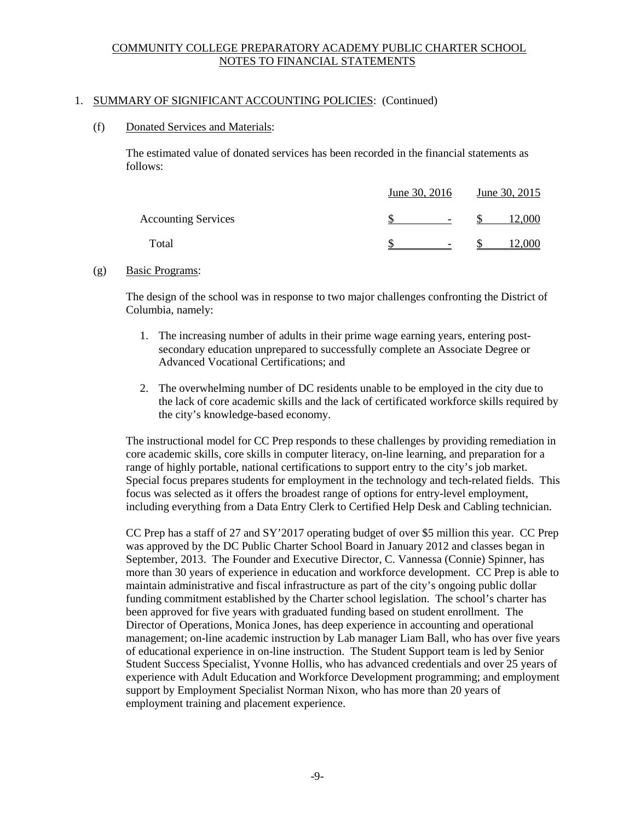# 1. SUMMARY OF SIGNIFICANT ACCOUNTING POLICIES: (Continued)

(g) Basic Programs: (Continued)

The school's programming is based on the four outcomes for CC Prep adult learners:

- 1. Successful high school completion via the new High School Equivalency Examination (GED);
- 2. Successful entry into Community College at freshman level as a result of preparation for the ACCUPLACER entry examination;
- 3. Successful completion of national entry-level employment certifications in the emerging fields for the District of Columbia (i.e., technology, administrative support and health careers); and/or
- 4. Successful attainment of necessary skills in reasoning, mathematics, computers, and on-line research required for life-long learning in the twenty-first century.

In our third year, we continued to expand our role as a Microsoft Office Academy School. We provided free training and assessment toward national certification(s). We added a highly qualified Microsoft Office Suite (MOS) trainer to our ranks to markedly expand student access to this critical baseline employment skill. As a result, we were the second most productive MOS site among the Microsoft Academies with over 140 successful MOS certifications this year.

Other cloud-based national certifications were added to support entry-level employment in the District's knowledge based economy. Whenever possible, a blended learning approach that married active learning with on-line reinforcement is employed. Based upon review of our student data, we continued as a year-round school and operated from 9:00 am to 9:00 pm daily, providing instruction in three-hour sessions: 9:00 am to 12:00 noon, 1:00 pm to 4:00 pm and 5:00 pm to 8:45 pm Monday through Thursday evenings.

All adult learners are assessed initially and at regular intervals (every 6 to 8 weeks based on initial grade equivalent scores) using the ETABE (Test of Adult Basic Education). The ETABE was selected as it is aligned with My Foundations Lab, the core curriculum and the new GED. The new GED preparation program was developed to align with the Common Core Standards and has remained the declared goal for 55% of all enrolled students. Based on the assessment analysis, students complete an Individual Learning Plan (ILP) with their assigned Student Success Specialist. They also sign off on a learning contract and agree to make every effort to comply with school requirements for attendance, individual bi-weekly academic reviews and semi-annual progress reviews. All students spend a minimum of fifteen hours a week in class. In addition to regularly scheduled ETABE assessments, students are assessed for skill mastery as part of the curricular design. Once students reach the  $7<sup>th</sup>$  grade  $5<sup>th</sup>$ month level in Reading, they are eligible to begin Microsoft Word training, which is now recommended for all students. When students reach the 9<sup>th</sup> grade level in Reading and Mathematics, students participate in either GED or ACCUPLACER Boot Camps (weekly Intensive Workshops focusing specifically on test taking skills), in addition to their weekly classes. They can also at this point, enter advanced IT certification. **All education and training services are free to DC residents.**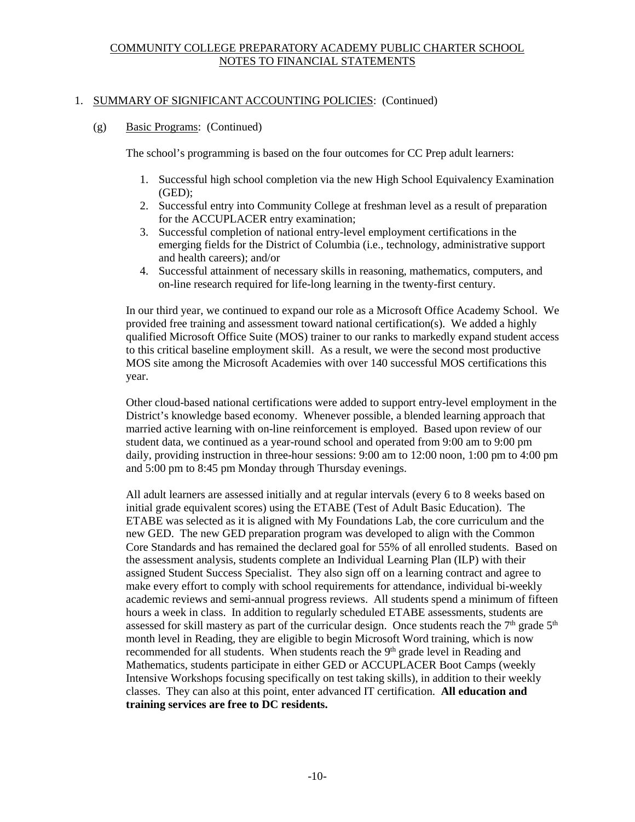# 1. SUMMARY OF SIGNIFICANT ACCOUNTING POLICIES: (Continued)

#### (h) Functional Expense Allocation Policies and Procedures:

Management has elected to prepare a schedule of functional expenses that is presented as supplemental information to the financial statements. The schedule of functional expenses presents an allocation of each expense category between program services, general and administrative, and fundraising activities. Program service costs pertain to educating students. General and administrative costs pertain to supporting activities. Fundraising costs relate to fundraising activities such as special events, fundraisers and the soliciting of contributions.

Management has established functional expense allocation policies and procedures based on a reasonable analysis of cost drivers and reasonable allocation estimates based on financial results and industry standards.

Direct costs, where identifiable, are allocated in whole to the appropriate functional category. Direct student expenses (textbooks, materials, instructional supplies, assessment material and contracted educational services) are allocated entirely to program services.

Personnel expenses for salaries, payroll taxes and employee benefit plans are allocated based on job descriptions and management estimates of time spent on particular activities. Personnel expenses for salaries are divided into employee categories (executive, support staff, student specialists, learning lab managers, and content specialists) and then a percentage of time spent on program services, general and administrative activities, and fundraising activities is applied. All other personnel expenses (employee benefits, payroll taxes, staff development) are allocated based on the weighted average allocation of the direct salaries.

Other expenses that are not directly identifiable by program are allocated based on management estimates of use of resources. For other expenses where it would not be appropriate to designate 100 percent as a program service cost, general and administrative cost, or fundraising cost, the allocation formula for personnel expenses is utilized for cost allocation purposes.

### (i) Use of Estimates:

The preparation of financial statements in conformity with accounting principles generally accepted in the United States of America requires management to make estimates and assumptions that affect the reported amounts of assets, liabilities, the disclosure of contingent assets and liabilities at the date of the financial statements, and the reported amounts of support and revenues and expenses during the reporting period. Actual results could differ from those estimates.

#### (j) Recognition of Salary Expense:

Salary expense is recognized in the year the service is rendered, which coincides with the academic year. Salaries unpaid at June 30 are recognized as expense and accrued salaries.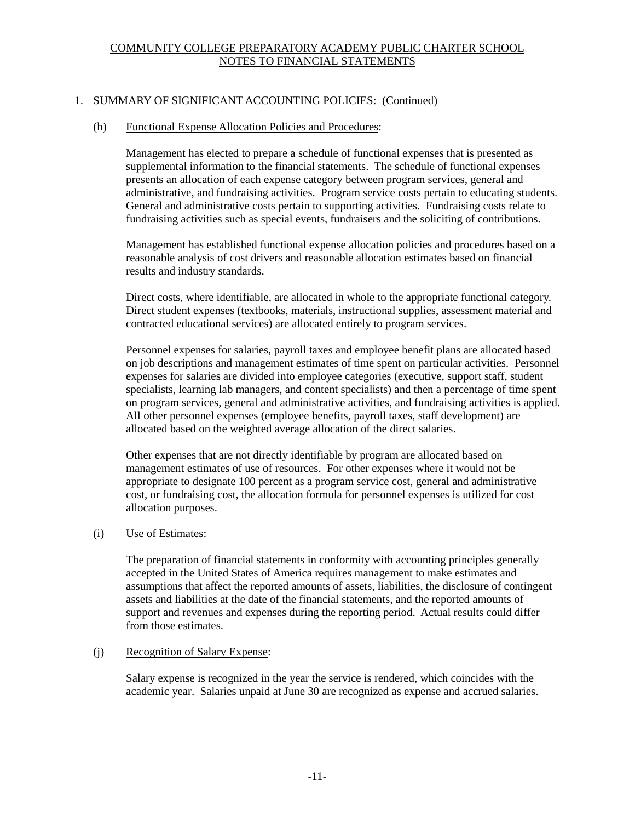# 1. SUMMARY OF SIGNIFICANT ACCOUNTING POLICIES: (Continued)

#### (k) Fair Value of Certain Financial Instruments:

Some of the Charter School's financial instruments are not measured at fair value on a recurring basis but nevertheless are recorded at amounts that approximate fair value due to their liquid or short-term nature. Such accounts include cash, accounts receivable, prepaid expenses, accounts payable, and accrued expenses.

### (l) Reclassifications:

Certain accounts in the prior year financial statements have been reclassified for comparative purposes to conform with the presentation in the current year financial statements. These reclassifications had no effect on the change in net assets or to total net assets from the prior years.

### 2. ACCOUNTING FOR UNCERTAIN TAX POSITIONS:

Accounting principles generally accepted in the United States of America provide consistent guidance for the accounting for uncertainty in income taxes recognized in the Charter School's financial statements and prescribe a threshold of "more likely than not" for recognition of tax positions taken or expected to be taken in a tax return. The Community College Preparatory Academy Public Charter School performed an evaluation of uncertain tax positions for the year ended June 30, 2016, and determined that there were no matters that would require recognition in the financial statements or that may have any effect on its tax-exempt status. As of June 30, 2016, the statute of limitations for tax years 2012 through 2014 remains open with the U.S. federal jurisdiction or the various states and local jurisdictions in which the organization files tax returns. It is the Charter School's policy to recognize interest and/or penalties related to uncertain tax positions, if any, in income tax expense. As of June 30, 2016, the Charter School had no accruals for interest and/or penalties.

#### 3. CASH AND CASH EQUIVALENTS:

Cash and cash equivalents at year end consisted of the following:

|                                         | June 30, 2016 |       | June 30, 2015 |         |  |
|-----------------------------------------|---------------|-------|---------------|---------|--|
| Checking Account - Non Interest Bearing |               | 8.336 |               | 100,785 |  |
| Total                                   |               | 8.336 |               | 100.785 |  |

For purposes of the cash flow statement and financial statement presentation, cash and cash equivalents are short term, highly liquid investments with original maturities of three months or less.

The Charter School maintains its operating funds in one financial institution in the form of a noninterest bearing business checking account. This account is covered under the Federal Deposit Insurance Corporation (FDIC) Program. Federal Deposit Insurance Corporation Insurance coverage is \$250,000 per account category. Deposits held in non-interest-bearing transaction accounts are aggregated with interest-bearing deposits and the combined total is insured up to \$250,000.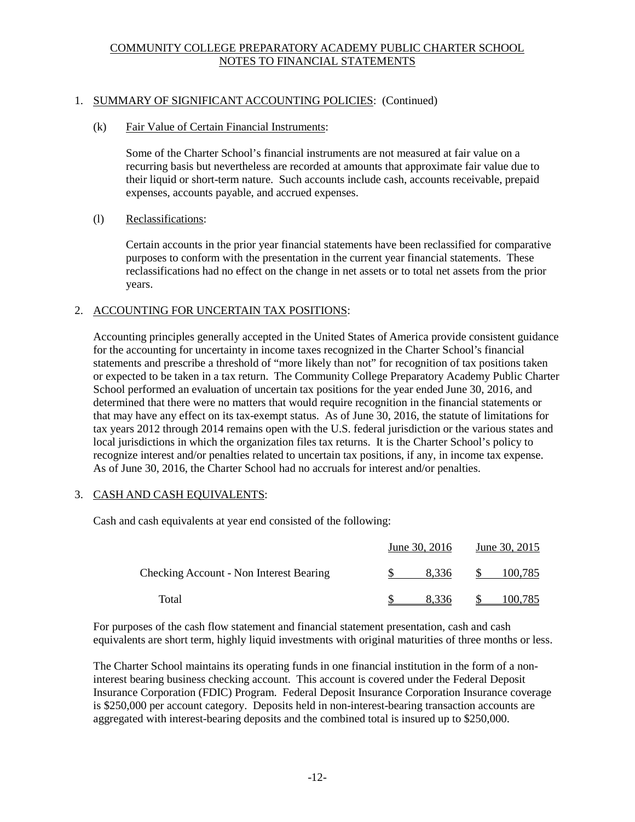# 3. CASH AND CASH EQUIVALENTS: (Continued)

As of June 30, 2016 and 2015, the bank balance was fully insured. Due to increased cash flows at certain times during the year, the amount of funds at risk may have been greater than at year end. The Charter School was at risk for the funds held in excess of the insured amounts. The Charter School has not experienced any losses related to these accounts and does not believe it is exposed to any significant credit risk on cash and cash equivalents.

# 4. ACCOUNTS, GRANTS AND PROMISES RECEIVABLE:

### Accounts and Grants Receivable:

Accounts and grants receivable are current and considered to be fully collectible by management. Balances as of June 30, 2016 and 2015 consisted of the following:

|                                  | JUILE $30, 2010$ |   | JUIIE JU, $\angle$ UIJ |  |
|----------------------------------|------------------|---|------------------------|--|
| Accounts Receivable:             |                  |   |                        |  |
| Reimbursable Health Insurance    | \$<br>4,425      | S | 21,216                 |  |
| Per Pupil Funding                |                  |   | 6,424                  |  |
| Other                            |                  |   | 6,170                  |  |
| Reimbursable Payroll Taxes       | 15,230           |   | 15,121                 |  |
| Reimbursable Expenses            | 4,201            |   | 7,103                  |  |
| <b>Total Accounts Receivable</b> | 23,856           |   | 56,034                 |  |
| Grants Receivable:               |                  |   |                        |  |
| <b>CTE</b> Certification Program |                  | S | 4,450                  |  |
| <b>Total Grants Receivable</b>   |                  |   | 4.450                  |  |

 $J_{\text{true}}$  20, 2016  $J_{\text{true}}$  20, 2015

The Charter School's accounts and grants receivable consists of unsecured amounts due from funding sources whose ability to pay is subject to changes in general economic conditions. Because the Charter School does not require collateral, it is at credit risk for the balance of the accounts and grants receivable at year end.

Accounts and grants receivable are stated at the amount management expects to collect from outstanding balances. Management provides for probable uncollectible amounts through a provision for bad debt expense and an adjustment to a valuation allowance based on its assessment of the current status of individual accounts. Balances outstanding after management has used reasonable collection efforts are written off through a charge to the valuation allowance and a credit to accounts or grants receivable. Management believes that an allowance was not required, based on its evaluation of collectability of receivables for the years ended June 30, 2016 and 2015.

### Promises Receivable:

Contributions are recognized when the donor makes a promise to give that is, in substance, unconditional. Promises to give represent amounts committed by donors that have not been received by the Charter School. The Charter School uses the allowance method to determine uncollectible promises to give.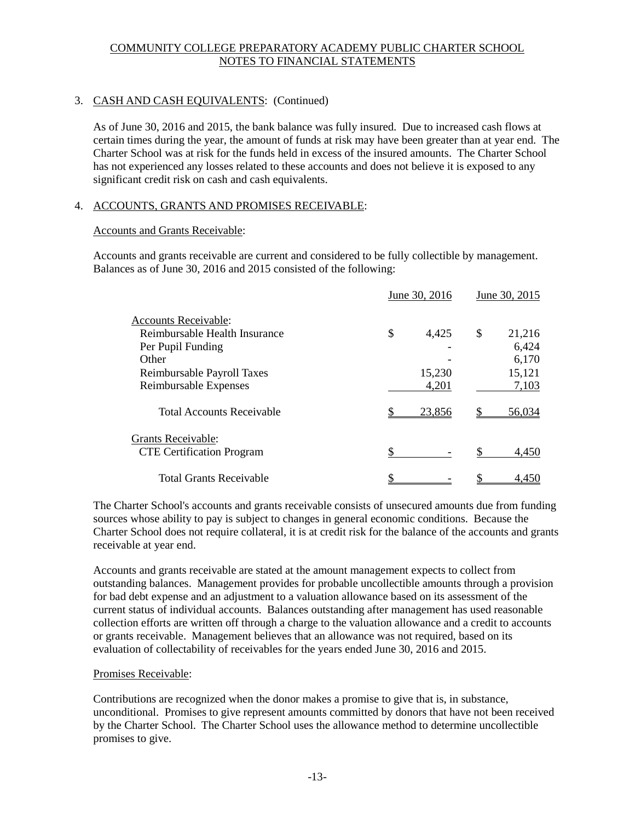# 5. FIXED ASSETS:

Furniture and equipment are recorded at cost, or in the case of contributed property at the fair market value at the date of contribution. If an expenditure in excess of \$500 results in an asset having an estimated useful life which extends substantially beyond the year of acquisition, the expenditure is capitalized at cost and depreciated over the estimated useful lives of the assets. When assets are retired, or otherwise disposed of, the cost and related accumulated depreciation is removed from the accounts and any resulting gain or loss is reflected in income for the period. Depreciation has been provided on the straight-line method over the estimated useful lives of the assets. Depreciation and amortization expense for the years ended June 30, 2016 and 2015 was \$84,933 and \$51,912, respectively. Maintenance and repairs are charged to expenses as incurred. Major classifications of fixed assets and their estimated useful lives are as summarized below:

### June 30, 2016

|                                                                                          | Depreciable<br>Life           | Cost                               | Accumulated<br>Depreciation      | Net Book<br>Value                |
|------------------------------------------------------------------------------------------|-------------------------------|------------------------------------|----------------------------------|----------------------------------|
| <b>Furniture and Fixtures</b><br>Computer and Office Equipment<br>Leasehold Improvements | 5 Years<br>3 Years<br>5 Years | \$<br>121,240<br>193,993<br>23,894 | \$<br>35,632<br>122,049<br>9,250 | \$<br>85,608<br>71,944<br>14,644 |
| Total                                                                                    |                               | 339,127                            | 166,931                          | 172,196                          |
| June 30, 2015                                                                            | Depreciable<br>Life           | Cost                               | Accumulated<br>Depreciation      | Net Book<br>Value                |
| <b>Furniture and Fixtures</b><br>Computer and Office Equipment<br>Leasehold Improvements | 5 Years<br>3 Years<br>5 Years | \$<br>60,856<br>131,575<br>15,193  | \$<br>13,177<br>63,626<br>5,196  | \$<br>47,679<br>67,949<br>9,997  |
| Total                                                                                    |                               | 207.624                            | 81,999                           | 125,625                          |

### 6. CAPITAL LEASE PAYABLE:

During the year ended June 30, 2014, the Charter School entered into a capital lease for the purchase of a CopyStar cs3550ci photocopier with Navitas Lease Corp. The original balance was in the amount of \$6,956 payable over 48 months with a monthly payment of \$296 and a maturity on August 26, 2017. Interest expense was \$1,581 and \$2,522 for the years ended June 30, 2016 and 2015, respectively, using an implicit rate of 3.40%. The lease is secured by the photocopy equipment that cost \$6,956 and is presented as part of Furniture and Equipment. For the years ended June 30, 2016 and 2015, amortization expense in the amount of \$1,739 on the photocopier is included in depreciation expense. Accumulated amortization was \$4,927 and \$3,188 at June 30, 2016 and 2015, respectively. The balance of the capital lease was \$3,256 and \$4,933 at June 30, 2016 and 2015, respectively.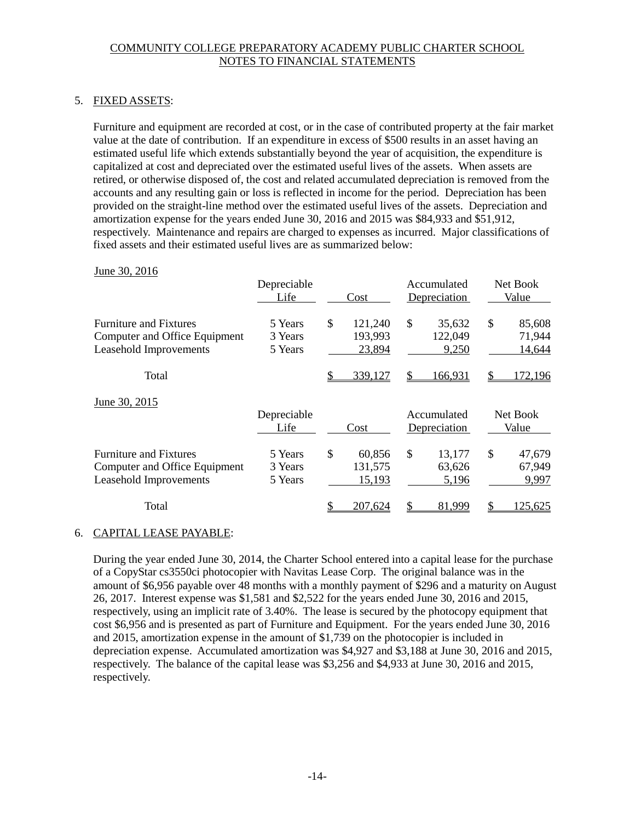# 6. CAPITAL LEASE PAYABLE: (Continued)

The Charter School is committed under this capital lease to make future minimum payments as follows:

| Year Ending June 30                        | Total        | Principal    | Interest  |
|--------------------------------------------|--------------|--------------|-----------|
| 2017<br>2018                               | 3,555<br>593 | 2.692<br>564 | 863<br>29 |
| <b>Total Future Minimum Lease Payments</b> | 4.148        | 3.256        | 892       |

### 7. SHORT-TERM LOAN PAYABLE:

### Loan Payable - Executive Director

On June 1, 2013, the Executive Director provided an unsecured loan to the Community College Preparatory Academy Public Charter School in the amount of \$40,000. This loan was to provide bridge financing for school start-up costs until such time as the first per-pupil funding allocation was made. Interest is to accrue at 4% per annum on the unpaid principal balance. Maturity was originally scheduled for September 1, 2013, however, maturity has been extended and is due on demand. The balance of the loan at June 30, 2016 and 2015, was \$10,000 and \$40,000, respectively. Accrued interest payable on this loan at June 30, 2016 and 2015 was \$3,931 and \$3,333, respectively.

### Loan Payable - Charter School Incubator Initiative

On March 6, 2014, the Charter School Incubator Initiative provided an unsecured non-interest bearing loan to the Community College Preparatory Academy in the amount of \$80,000 for the purpose of providing working capital to the school. This loan was paid in full on July 17, 2014.

### 8. DISTRICT OF COLUMBIA PUBLIC CHARTER SCHOOL BOARD CONTRACT:

The Charter School was approved by the District of Columbia Public Charter School Board to operate a charter school in the District of Columbia. The District of Columbia Public Charter School Board (DCPCSB) is responsible for the ongoing oversight of the School's fiscal management and academic acceptability. The contract dated July 1, 2013, provides for a 15-year charter effective the date of first operation. If not renewed, the charter contract will expire on or about July 1, 2028. The charter contract may be renewed for successive 15-year periods if the DCPCSB deems that the Community College Preparatory Academy is in compliance with its charter contract and District statutory provisions. In addition, in accordance with the Charter School Act, the DCPCSB is required to review Community College Preparatory Academy's charter every five years, with the first such review scheduled for 2018. The DCPCSB may revoke (or not renew) a charter school contract if a school violates applicable law, materially violates the charter contract or fails to meet the student academic achievement expectations set forth in the charter contract. Consequently, management does not anticipate non-renewal or revocation of its charter.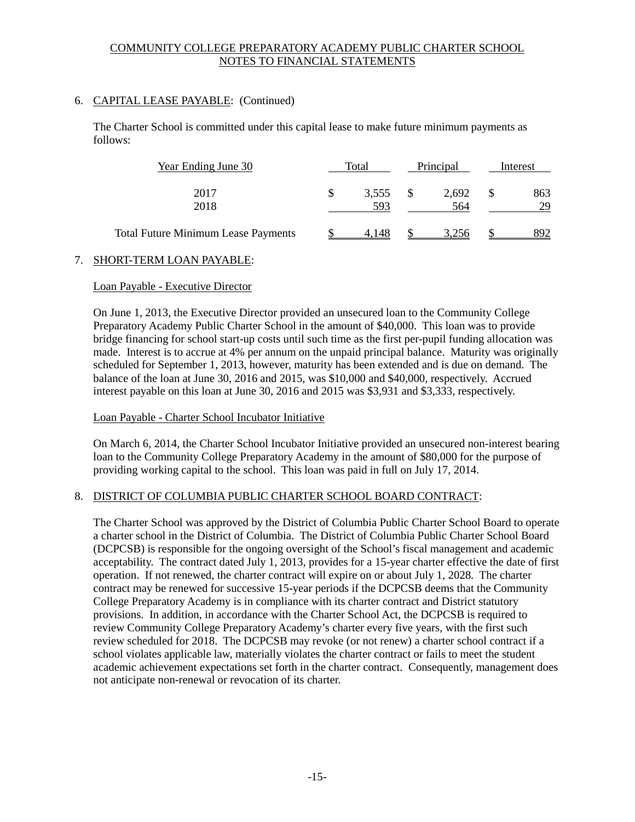### 8. DISTRICT OF COLUMBIA PUBLIC CHARTER SCHOOL BOARD CONTRACT: (Continued)

As part of the agreement with the DCPCSB, the Charter School may be charged a public charter school fee, which is not to exceed one percent of the total revenues (less philanthropic and investment revenues) within the annual budget to cover the costs of undertaking the ongoing administrative responsibilities of the Board. For the years ended June 30, 2016 and 2015, the Charter School incurred \$41,755 and \$29,247, respectively, in administrative fees.

The charter contract provides that the Community College Preparatory Academy may educate up to a predetermined number of students. However, this enrollment limit may be raised upon notification to and acceptance by the DCPCSB. The Charter School enrollment ceiling for the year ended June 30, 2016, was not permitted to be greater than 350 students. Audit enrollment for the 2015/2016 year was 350 students and enrollment for the 2014/2015 year was 238 students.

### 9. PER-PUPIL FUNDING ALLOCATION:

The Charter School receives local funding from the District of Columbia in the form of per-pupil educational allotments and facility allotments. This funding is based on the equivalent number of full-time students and is determined annually. For the year ended June 30, 2016, the per-student rate was \$8,448 for the education allotment and \$3,124 for the facility allotment. For the year ended June 30, 2015, the per-student rate was \$8,448 for the education allotment and \$3,072 for the facility allotment. Additional allotments were made for Special Education and English as a Second Language. Per-pupil funding for the years ended June 30, 2016 and 2015 was as follows:

|                              | June 30, 2016 |           |  | June 30, 2015 |
|------------------------------|---------------|-----------|--|---------------|
| <b>Adult Education</b>       | S.            | 2,956,758 |  | 2,010,595     |
| Special Education            |               | 65,772    |  | 17,131        |
| English as a Second Language |               | 4.651     |  |               |
| Summer School                |               |           |  | 161,362       |
| <b>Facilities Allowance</b>  |               | 1.093.400 |  | 731,136       |
| Total                        |               | 4.120.581 |  | 2.920.224     |

### 10. COMMITMENTS:

### Building Lease - 2405 Martin L King, Jr. Avenue:

The Community College Preparatory Academy Public Charter School entered into an operating lease rental agreement on June 1, 2013, effective July 1, 2013, with Howard Road Academy (currently operating as Cedar Tree Academy) for the rental of a school facility (11,000 square feet) located at 2405 Martin L King, Jr. Avenue, SE, Washington, DC. The term of this agreement was for an original one-year period continuing through June 30, 2014, with an option to renew the agreement for additional one year periods. This lease has been subsequently renewed through June 30, 2017, with monthly payments in the amount of \$20,000 commencing on July 1, 2016. As of June 30, 2016, monthly lease payments in the amount of \$19,000 were required. In addition, as a requirement of this lease, a rental security deposit of \$18,000 was made. The Community College Preparatory Academy Public Charter School is responsible for all utilities (gas, water, electricity, and trash removal), building engineering, janitorial, maintenance and repairs, security monitoring and property management.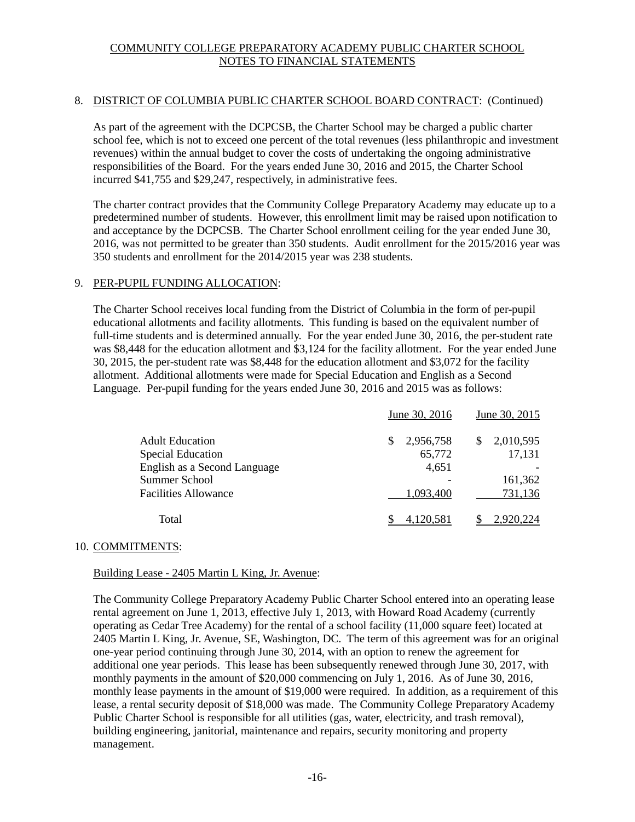### 10. COMMITMENTS: (Continued)

#### Building Lease - 2405 Martin L King, Jr. Avenue: (Continued)

Rent expense on this lease for the years ended June 30, 2016 and 2015, was \$228,000 and \$216,000, respectively. Future estimated required minimum rental lease payments are as follows:

|                      | Required<br>Lease |
|----------------------|-------------------|
| Year Ending June 30, | Payment           |
| 2017                 | 240,000           |
| Total                |                   |

# Building Lease - 500 19<sup>th</sup> Street:

The Community College Preparatory Academy Public Charter School entered into a sub-sublease rental agreement on July 9, 2015, with the Charter School Incubator Initiative (the subleassee) for the rental of a school facility located at 500 19<sup>th</sup> Street, NE, in Washington, DC. The rental lease is effective for a five-year period commencing on July 1, 2015, and expiring on June 30, 2020. As part of this agreement, the Charter School has the option to extend the term of the lease for three additional terms of five years each. As a requirement of this lease, a total rental security deposit of \$5,000 is to be made. An annual usage fee will be payable in quarterly installments. The annual usage fee represents an amount equal to the number of students enrolled on each census date (every October) multiplied by the per pupil facilities allowance received from the DC Government. The annual usage fee is full service and includes all utilities (gas, water, electricity, and trash removal), building engineering, janitorial, maintenance and repairs, security monitoring and property management. As a provision of this lease, the Community College Preparatory Academy Public Charter School has provided the Charter School Incubator Initiative a first priority lien on, and security interest in any and all revenues, grants, awards and other payments, which fund in whole or in part, any of the operating costs of the subleased premises. Rent expense related to this lease for the year ended June 30, 2016, was \$218,680.

### Security Monitoring Lease:

The Charter School entered into an operating lease with Kastle Systems for the monthly monitoring and operations of the school's security system. This lease calls for thirty-six (36) monthly payments of \$414, commencing on January 31, 2014. Monthly payments at June 30, 2016, were \$523. Rental expense for the years ending June 30, 2016 and 2015 was \$5,796 and \$6,417, respectively. Future minimum payments due under this lease are as follows:

| Year Ended June 30, |  |
|---------------------|--|
| 2017                |  |
| Total               |  |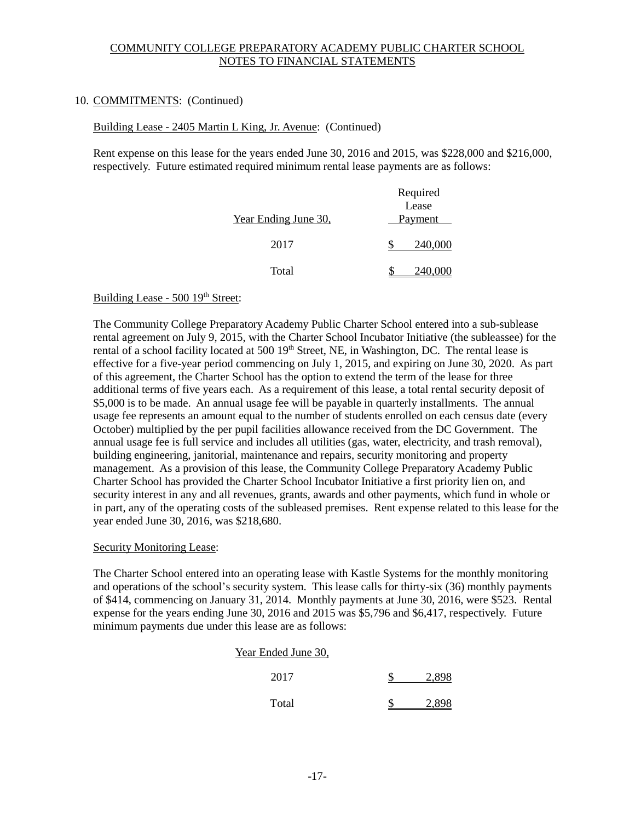# 10. COMMITMENTS: (Continued)

### Organization Credit Card:

The Charter School utilizes a credit card issued by the Bank of America for purchases related to the Charter School's activity. The credit card is issued in the name of the Charter School with a combined credit limit of \$30,000 and is considered to be unsecured.

### 11. CONCENTRATIONS:

### Revenues:

The Charter School receives public funds from the DC government based on the number of students they enroll according to the Uniform Per Student Funding Formula developed by the Mayor and City Council. This per pupil allocation, at times, is supplemented with extra funds for students with special needs. During the years ended June 30, 2016 and 2015, ninety-seven percent (97%) and ninety-nine percent (99%), respectively, of total support was received from the District of Columbia in the form of per pupil funding.

The Charter School is limited to enrolling students that are residents of the District of Columbia. As a DC Public Charter School, the Charter School must compete for students against the DC Public School system as well as other DC Public Charter Schools.

### 12. CONTINGENCIES:

The Charter School was granted its initial charter by the District of Columbia Public Charter School Board, authorized under the District of Columbia School Reform Act of 1995, Public Law 104-134, as amended. The Charter School has no reason to believe that this relationship will be discontinued in the foreseeable future. However, any interruption of this relationship (i.e., the failure to continue this charter authorization or withholding funds) could adversely affect the Charter School's ability to finance ongoing operations.

The Charter School depends on per pupil allocations, grants, and contributions for a significant portion of its revenues. The ability of the sources of revenues to continue giving amounts comparable with prior years may be dependent upon future economic conditions and continued deductibility for income tax purposes of grants and contributions to the Charter School. While the Charter School's Board of Directors and management believes the Charter School has the resources to continue its programs, its ability to do so, and the extent to which it continues, may be dependent on the above factors.

Laws and regulations governing charter schools are complex and subject to interpretation. The Charter School believes that it is in compliance with all applicable laws and regulations and is not aware of any pending or threatened investigations involving allegations of potential wrongdoing.

The viability of public charter schools and funding for these schools is dependent on the consensus of current and future administration of the District of Columbia Government. Any future change in dynamics could adversely affect the operations of public charter schools.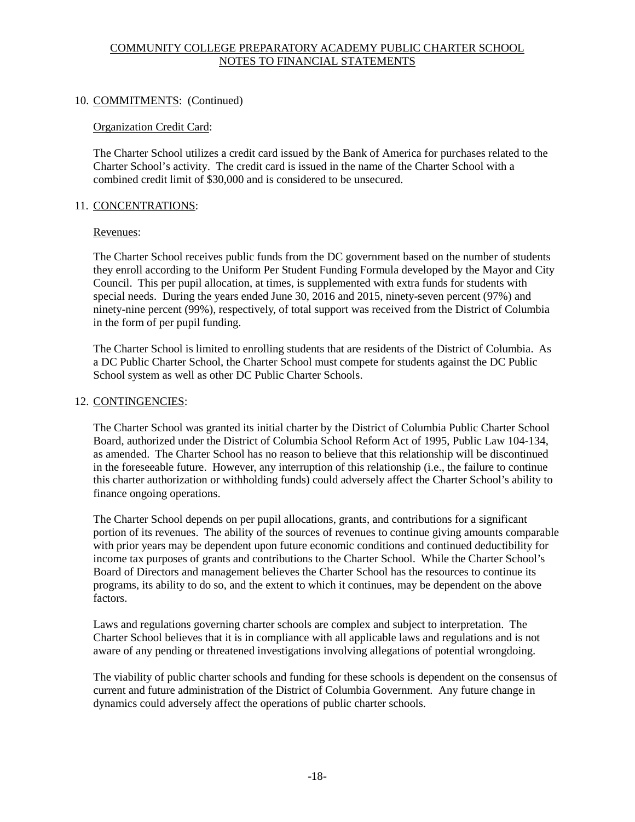### 13. SUBSEQUENT EVENTS:

### Financial Statement Preparation:

In preparing these financial statements, management has evaluated events and transactions for potential recognition or disclosure through December 2, 2016, the date the financial statements were available to be issued, and has determined that no adjustments are necessary to the amounts reported in the accompanying financial statements.

#### Enrollment:

Enrollment for the 2016/2017 school year is projected to be approximately four hundred seventy-five (475) students. These enrollment numbers are up from the current enrollment number of three hundred fifty (350) students during the 2015/2016 school year.

#### 14. RELATED PARTY TRANSACTIONS:

#### Board of Directors:

Two of the board members appointed to serve on the board of directors are adult students attending the Charter School. Student trustees are elected by a majority vote of the board members from a list of qualified individuals submitted to the board.

#### 15. FUNDRAISING:

During the years ended June 30, 2016 and 2015, expenses incurred for the purpose of fundraising was \$43,211 and \$9,958, respectively.

#### 16. ADVERTISING:

Advertising costs are expensed when incurred. Advertising was conducted for the purpose of promoting open enrollment and recruiting to the Charter School and to provide outreach to the community. Advertising expenses in the amount of \$9,632 and \$3,676 were incurred during the years ended June 30, 2016 and 2015, respectively.

### 17. EMPLOYEE BENEFITS:

The cost of employee benefits incurred for the years ended June 30, 2016 and 2015, consisted of the following:

|                             | June 30, 2016 | June 30, 2015  |
|-----------------------------|---------------|----------------|
| Payroll Taxes               | \$<br>127,310 | S<br>84,543    |
| <b>Health Insurance</b>     | 177,020       | 125,606        |
| <b>Workers Compensation</b> | 29,019        | 18,198         |
| DeMinimus                   |               | 8,009<br>5,442 |
| Total                       | 341.358       | 233,789        |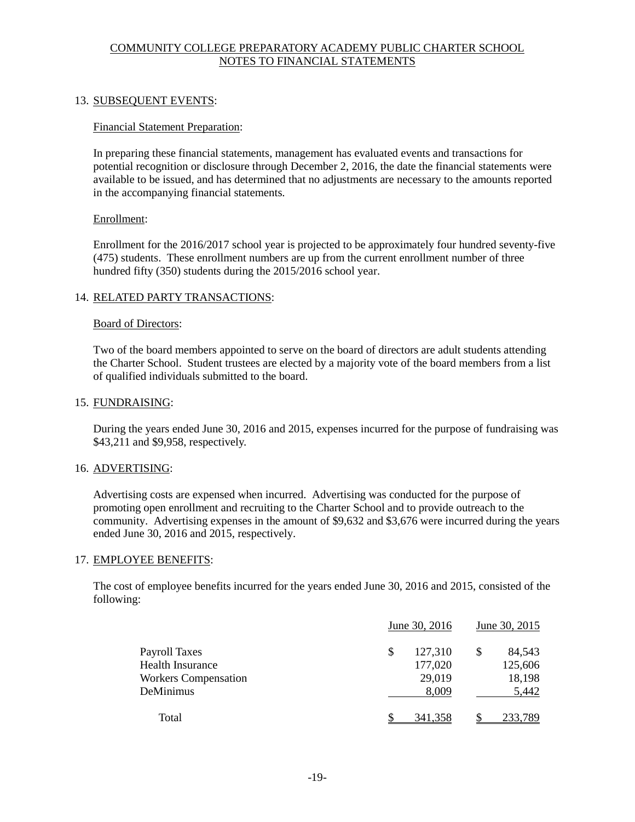### 17. EMPLOYEE BENEFITS: (Continued)

### Flexible Benefits Plan:

The Charter School adopted a Section 125 Flexible Benefits Plan. Under this plan, employees are permitted to use pre-tax benefit dollars through payroll deduction to pay for health, dental and vision premiums and life insurance.

### 18. OCCUPANCY COST:

The cost of occupancy for the years ended June 30, 2016 and 2015 consisted of the following:

|                                       |    | June 30, 2016 | June 30, 2015 |
|---------------------------------------|----|---------------|---------------|
| <b>Rent of Facilities</b>             | \$ | 446,680       | \$<br>216,000 |
| <b>Contracted Building Services</b>   |    | 100,306       | 114,247       |
| Utilities                             |    | 48,710        | 41,675        |
| Building - Maintenance and Repairs    |    | 13,720        | 11,788        |
| Depreciation - Leasehold Improvements |    | 4,054         | 3,039         |
| <b>Janitorial Supplies</b>            |    | 13,547        | 14,965        |
| Rent - Other                          |    | 3,000         |               |
| Total                                 | ፍ  | 630,017       | 401,714       |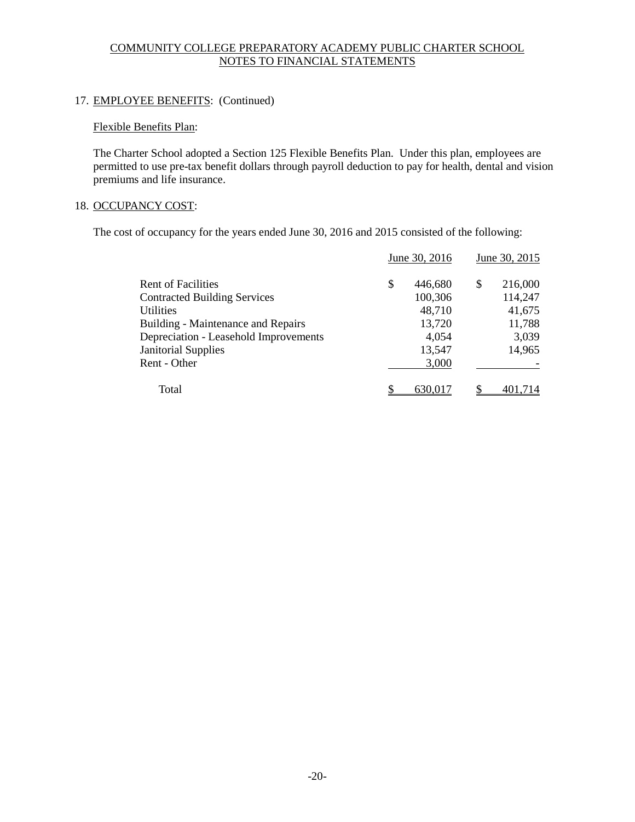#### COMMUNITY COLLEGE PREPARATORY ACADEMY PUBLIC CHARTER SCHOOL COMPARATIVE SCHEDULES OF FUNCTIONAL EXPENSES FOR THE YEARS ENDED JUNE 30, 2016 AND 2015

|                                              | June 30, 2016 |                         |                               |                        |                          | June 30, 2015           |                               |                       |
|----------------------------------------------|---------------|-------------------------|-------------------------------|------------------------|--------------------------|-------------------------|-------------------------------|-----------------------|
|                                              | Total         | Educational<br>Services | General and<br>Administrative | Fundraising            | Total                    | Educational<br>Services | General and<br>Administrative | Fundraising           |
| Personnel, Salaries and Benefits:            |               |                         |                               |                        |                          |                         |                               |                       |
| <b>Executive Salaries</b>                    | \$<br>187,837 | 110,365<br>$\mathbb{S}$ | $\mathcal{S}$<br>59,459       | $\mathbb{S}$<br>18,013 | -\$<br>117,815           | $\mathcal{S}$<br>83,649 | $\mathbb{S}$<br>29,453        | $\mathbb{S}$<br>4,713 |
| Other Support Staff Salaries                 | 257,192       | 257,192                 |                               |                        | 199,920                  | 199,920                 |                               |                       |
| <b>Student Specialist Salaries</b>           | 231,680       | 231,680                 |                               |                        | 140,295                  | 140,295                 |                               |                       |
| Learning Lab Manager Salaries                | 246,030       | 246,030                 |                               |                        | 210,055                  | 210,055                 |                               |                       |
| <b>Content Specialist Salaries</b>           | 301,246       | 301,246                 |                               |                        | 133,553                  | 133,553                 |                               |                       |
| <b>Business and Operations Salaries</b>      | 395,940       | 188,937                 | 205,690                       | 1,313                  | 265,103                  | 123,318                 | 141,560                       | 225                   |
| <b>Payroll Taxes</b>                         | 127,310       | 104,953                 | 20,838                        | 1,519                  | 84,543                   | 70,598                  | 13,554                        | 391                   |
| <b>Employee Benefits</b>                     | 214,048       | 176,460                 | 35,035                        | 2,553                  | 149,246                  | 124,629                 | 23,927                        | 690                   |
| Professional Development                     | 36,256        | 30,250                  | 6,006                         |                        | 23,015                   | 19,219                  | 3,689                         | 107                   |
| Total Personnel, Salaries and Benefits       | 1,997,539     | \$1,647,113             | 327,028                       | 23,398                 | 1,323,545                | \$1,105,236             | 212,183<br>\$                 | 6,126                 |
| <b>Direct Student Costs:</b>                 |               |                         |                               |                        |                          |                         |                               |                       |
| <b>Electronic Student Learning Materials</b> | 625,364<br>\$ | \$<br>625,364           | \$                            | $\mathcal{S}$          | $\mathcal{S}$<br>510,787 | $\mathbb{S}$<br>510,787 | $\mathcal{S}$                 | \$                    |
| <b>Student Supplies and Materials</b>        | 33,171        | 33,171                  |                               |                        | 22,101                   | 22,101                  |                               |                       |
| Consultants                                  | 130,756       | 130,756                 |                               |                        | 144,364                  | 144,364                 |                               |                       |
| <b>Student Assessment Materials</b>          | 17,627        | 17,627                  |                               |                        | 20,307                   | 20,307                  |                               |                       |
| <b>Student Recruitment</b>                   | 1,638         | 1,638                   |                               |                        | 30,766                   | 30,766                  |                               |                       |
| Contracted Instruction                       | 247,667       | 247,667                 |                               |                        | 153,633                  | 153,633                 |                               |                       |
| Textbooks                                    | 14,598        | 14,598                  |                               |                        | 2,422                    | 2,422                   |                               |                       |
| Other Student Costs                          | 13,823        | 13,823                  |                               |                        | 6,555                    | 6,555                   |                               |                       |
| <b>Total Direct Student Costs</b>            | 1,084,644     | \$1,084,644             |                               |                        | 890,935                  | 890,935                 |                               |                       |
| Occupancy Costs:                             |               |                         |                               |                        |                          |                         |                               |                       |
| <b>Rent of Facilities</b>                    | \$<br>446,680 | 368,238<br>\$           | $\mathcal{S}$<br>73,113       | $\mathbb{S}$<br>5,329  | 216,000<br><sup>\$</sup> | \$<br>180,371           | \$<br>34,628                  | \$<br>1,001           |
| Rent - Other                                 | 3,000         | 3,000                   |                               |                        |                          |                         |                               |                       |
| <b>Contracted Building Services</b>          | 100,306       | 82,691                  | 16,418                        | 1,197                  | 114,247                  | 95,403                  | 18,315                        | 529                   |
| Utilities                                    | 48,710        | 40,156                  | 7,973                         | 581                    | 41,675                   | 34,801                  | 6,681                         | 193                   |
| <b>Building Maintenance and Repairs</b>      | 13,720        | 11,310                  | 2,246                         | 164                    | 11,788                   | 9,843                   | 1,890                         | 55                    |
| Depreciation - Leasehold Improvement         | 4,054         | 3,342                   | 664                           | 48                     | 3,039                    | 2,537                   | 488                           | 14                    |
| <b>Janitorial Supplies</b>                   | 13,547        | 11,168                  | 2,217                         | 162                    | 14,965                   | 12,497                  | 2,399                         | 69                    |
| <b>Total Occupancy Costs</b>                 | 630,017       | 519,905                 | 102,631                       | 7,481                  | 401,714                  | 335,452                 | 64,401                        | 1,861                 |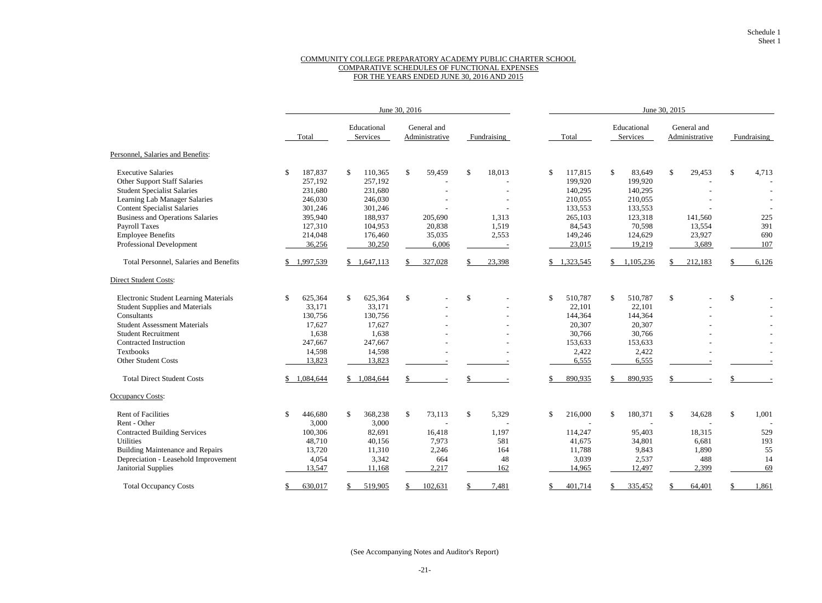#### COMMUNITY COLLEGE PREPARATORY ACADEMY PUBLIC CHARTER SCHOOL COMPARATIVE SCHEDULES OF FUNCTIONAL EXPENSES FOR THE YEARS ENDED JUNE 30, 2016 AND 2015

|                                          | June 30, 2016 |                         |                                      |                        |                        | June 30, 2015           |                               |             |
|------------------------------------------|---------------|-------------------------|--------------------------------------|------------------------|------------------------|-------------------------|-------------------------------|-------------|
|                                          | Total         | Educational<br>Services | General and<br><b>Administrative</b> | Fundraising            | Total                  | Educational<br>Services | General and<br>Administrative | Fundraising |
| Office Expenses:                         |               |                         |                                      |                        |                        |                         |                               |             |
| Office Supplies and Materials            | 28,821        | $\mathcal{S}$<br>23,760 | \$<br>4,717                          | \$<br>344              | \$<br>22,013           | $\mathbb{S}$<br>18,383  | \$<br>3,528                   | \$<br>102   |
| Office Equipment, Rental and Maintenance | 1,985         | 1,122                   | 223                                  | 640                    | 4,308                  | 3,597                   | 692                           | 19          |
| Telecommunications                       | 12,963        | 10,686                  | 2,122                                | 155                    | 12,793                 | 10,683                  | 2,050                         | 60          |
| Printing and Copying                     | 17,520        | 14,134                  | 2,806                                | 580                    | 9,927                  | 8,291                   | 1,591                         | 45          |
| Postage and Shipping                     | 1,343         | 1,107                   | 220                                  | 16                     | 746                    | 622                     | 121                           |             |
| Computer and Related                     | 62,742        | 52,348                  | 10,394                               |                        | 55,160                 | 46,276                  | 8,884                         |             |
| Marketing and Advertising                | 9,632         | 9,632                   |                                      |                        | 3,676                  | 3,676                   |                               |             |
| <b>Total Office Expenses</b>             | 135,006       | 112,789                 | 20,482                               | 1,735<br>$\mathcal{S}$ | 108,623                | \$<br>91,528            | 16,866                        | 229         |
| General Expenses:                        |               |                         |                                      |                        |                        |                         |                               |             |
| Accounting, Auditing and Payroll         | 96,616        | \$<br>80,611            | \$<br>16,005                         | $\mathbb{S}$           | $\mathbb{S}$<br>86,310 | <sup>\$</sup><br>72,409 | \$<br>13,901                  | \$          |
| <b>Authorizer Fee</b>                    | 41,755        | 34,838                  | 6,917                                |                        | 29,247                 |                         | 29,247                        |             |
| Consultants                              | 4,675         | 3,500                   |                                      | 1,175                  | 3,500                  |                         | 2,000                         | 1,500       |
| Insurance                                | 2,695         | 2,249                   | 446                                  |                        | 2,160                  | 1,803                   | 347                           | 10          |
| Depreciation - Equipment                 | 80,879        | 66,676                  | 13,238                               | 965                    | 48,873                 | 40,812                  | 7,835                         | 226         |
| <b>Interest Expense</b>                  | 2,179         |                         | 2,179                                |                        | 4,122                  |                         | 4,122                         |             |
| <b>Business Fees and Dues</b>            | 6,211         | 5,084                   | 1,009                                | 118                    | 5,548                  | 4,376                   | 1,172                         |             |
| Other General Expenses                   | 15,392        | 4,248                   | 2,805                                | 8,339                  | 3,149                  | 1,008                   | 2,135                         |             |
| <b>Total General Expenses</b>            | 250,402       | 197,206                 | 42,599                               | 10,597                 | 182,909                | 120,408<br>\$           | 60,759                        | 1,742       |
| <b>Total Functional Expenses</b>         | 4,097,608     | \$3,561,657             | 492,740                              | 43,211                 | 2,907,726              | \$2,543,559             | 354,209                       | 9,958       |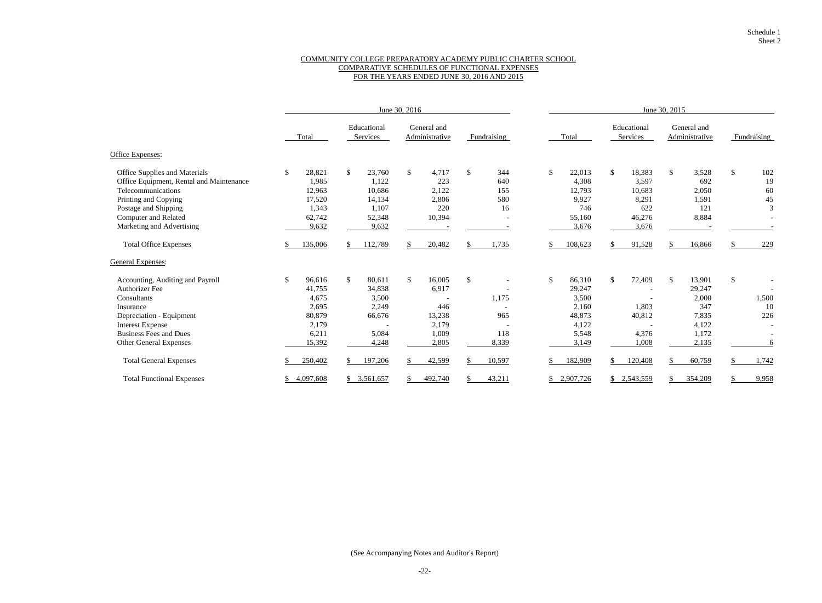### COMMUNITY COLLEGE PREPARATORY ACADEMY PUBLIC CHARTER SCHOOL COMPARATIVE SCHEDULES OF AVERAGE COST PER STUDENT FOR THE YEARS ENDED JUNE 30, 2016 AND 2015

#### June 30, 2016

|                            |       | <b>Total Cost</b> |   | <b>Average Cost</b><br>Per Student |
|----------------------------|-------|-------------------|---|------------------------------------|
| Instructional              |       | \$<br>3,041,752   | S | 8,691                              |
| <b>Occupancy Cost</b>      |       | 630,017           |   | 1,800                              |
| General and Administrative |       | 390,109           |   | 1,115                              |
| Fundraising                |       | 35,730            |   | 102                                |
|                            | Total | 4.097.608         |   | 11.708                             |

The above is the average per student cost for the year ended June 30, 2016, and is based on a full time equivalent (FTE) enrollment of 350 students.

#### June 30, 2015

|                            |       | <b>Total Cost</b> | <b>Average Cost</b><br>Per Student |
|----------------------------|-------|-------------------|------------------------------------|
| Instructional              |       | \$<br>2,208,107   | \$<br>9,278                        |
| <b>Occupancy Cost</b>      |       | 401,714           | 1,688                              |
| General and Administrative |       | 289,808           | 1,217                              |
| Fundraising                |       | 8,097             | 34                                 |
|                            | Total |                   | 12,211                             |

The above is the average per student cost for the year ended June 30, 2015, and is based on a full time equivalent (FTE) enrollment of 238 students.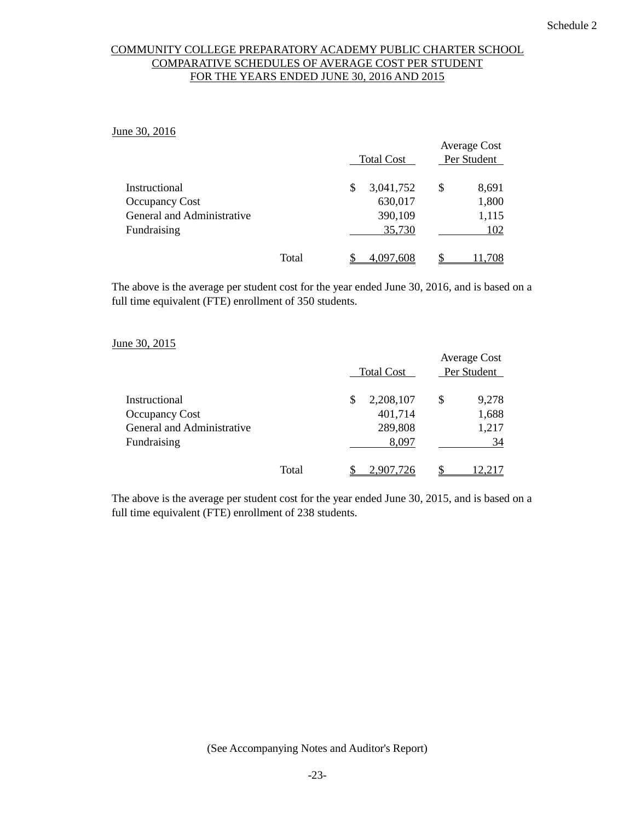Board of Directors Community College Preparatory Academy Public Charter School 2405 Martin L. King Jr. Ave SE Washington, DC 20020

# INDEPENDENT AUDITOR'S REPORT ON INTERNAL CONTROL OVER FINANCIAL REPORTING AND ON COMPLIANCE AND OTHER MATTERS BASED ON AN AUDIT OF FINANCIAL STATEMENTS PERFORMED IN ACCORDANCE WITH *GOVERNMENT AUDITING STANDARDS*

We have audited, in accordance with auditing standards generally accepted in the United States of America and the standards applicable to financial audits contained in *Government Auditing Standards*, issued by the Comptroller General of the United States, the financial statements of the Community College Preparatory Academy Public Charter School (a nonprofit organization), which comprise the statement of financial position as of June 30, 2016, and the related statements of activities and cash flows for the year then ended, and the related notes to the financial statements, and have issued our report thereon dated December 2, 2016.

### *Internal Control Over Financial Reporting*

In planning and performing our audit of the financial statements, we considered the Community College Preparatory Academy Public Charter School's internal control over financial reporting (internal control) to determine the audit procedures that are appropriate in the circumstances for the purpose of expressing our opinion on the financial statements, but not for the purpose of expressing an opinion on the effectiveness of the Community College Preparatory Academy Public Charter School's internal control. Accordingly, we do not express an opinion on the effectiveness of the Community College Preparatory Academy Public Charter School's internal control.

A *deficiency in internal control* exists when the design or operation of a control does not allow management or employees, in the normal course of performing their assigned functions, to prevent, or detect and correct, misstatements on a timely basis. A *material weakness* is a deficiency, or a combination of deficiencies, in internal control, such that there is a reasonable possibility that a material misstatement of the entity's financial statements will not be prevented, or detected and corrected on a timely basis. A *significant deficiency* is a deficiency, or a combination of deficiencies, in internal control that is less severe than a material weakness, yet important enough to merit attention by those charged with governance.

Our consideration of internal control was for the limited purpose described in the first paragraph of this section and was not designed to identify all deficiencies in internal control that might be material weaknesses or significant deficiencies. Given these limitations, during our audit we did not identify any deficiencies in internal control that we consider to be material weaknesses. However, material weaknesses may exist that have not been identified.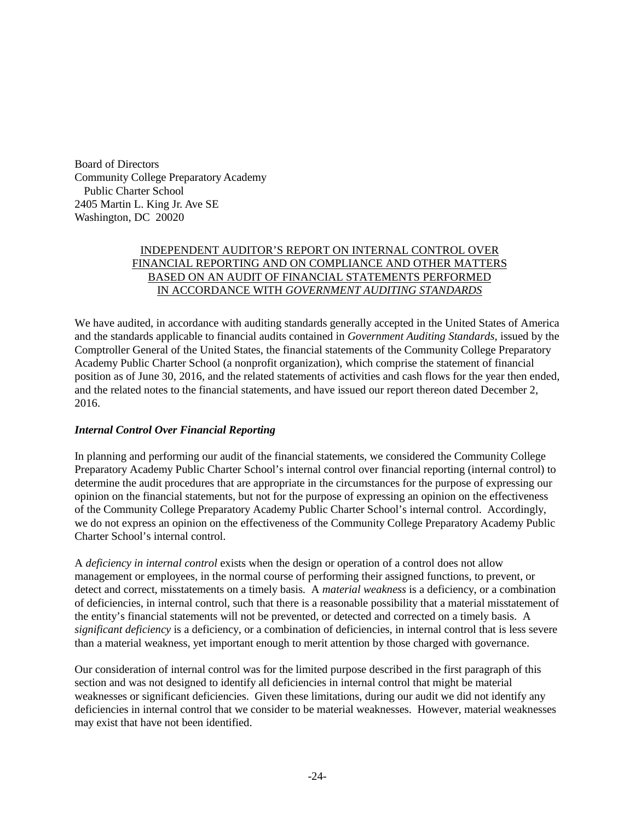# *Compliance and Other Matters*

As part of obtaining reasonable assurance about whether the Community College Preparatory Academy Public Charter School's financial statements are free from material misstatement, we performed tests of its compliance with certain provisions of laws, regulations, contracts and grant agreements, noncompliance with which could have a direct and material effect on the determination of financial statement amounts. However, providing an opinion on compliance with those provisions was not an objective of our audit and accordingly, we do not express such an opinion. The results of our tests disclosed no instances of noncompliance or other matters that are required to be reported under *Government Auditing Standards*.

# *Purpose of this Report*

The purpose of this report is solely to describe the scope of our testing of internal control and compliance and the results of that testing, and not to provide an opinion on the effectiveness of the organization's internal control or on compliance. This report is an integral part of an audit performed in accordance with *Government Auditing Standards* in considering the organization's internal control and compliance. Accordingly, this communication is not suitable for any other purpose.

> Kendall, Prebola and Jones Certified Public Accountants

Bedford, Pennsylvania December 2, 2016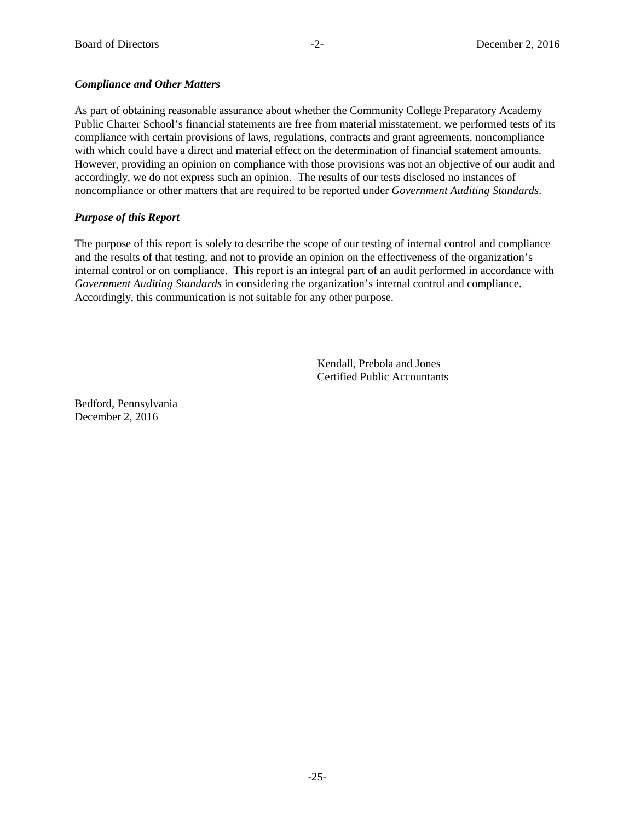# COMMUNITY COLLEGE PREPARATORY ACADEMY PUBLIC CHARTER SCHOOL SUMMARY SCHEDULE OF PRIOR AUDIT FINDINGS FOR THE YEAR ENDED JUNE 30, 2016

# FINDINGS - FINANCIAL STATEMENT AUDIT

There were no audit findings in the prior year.